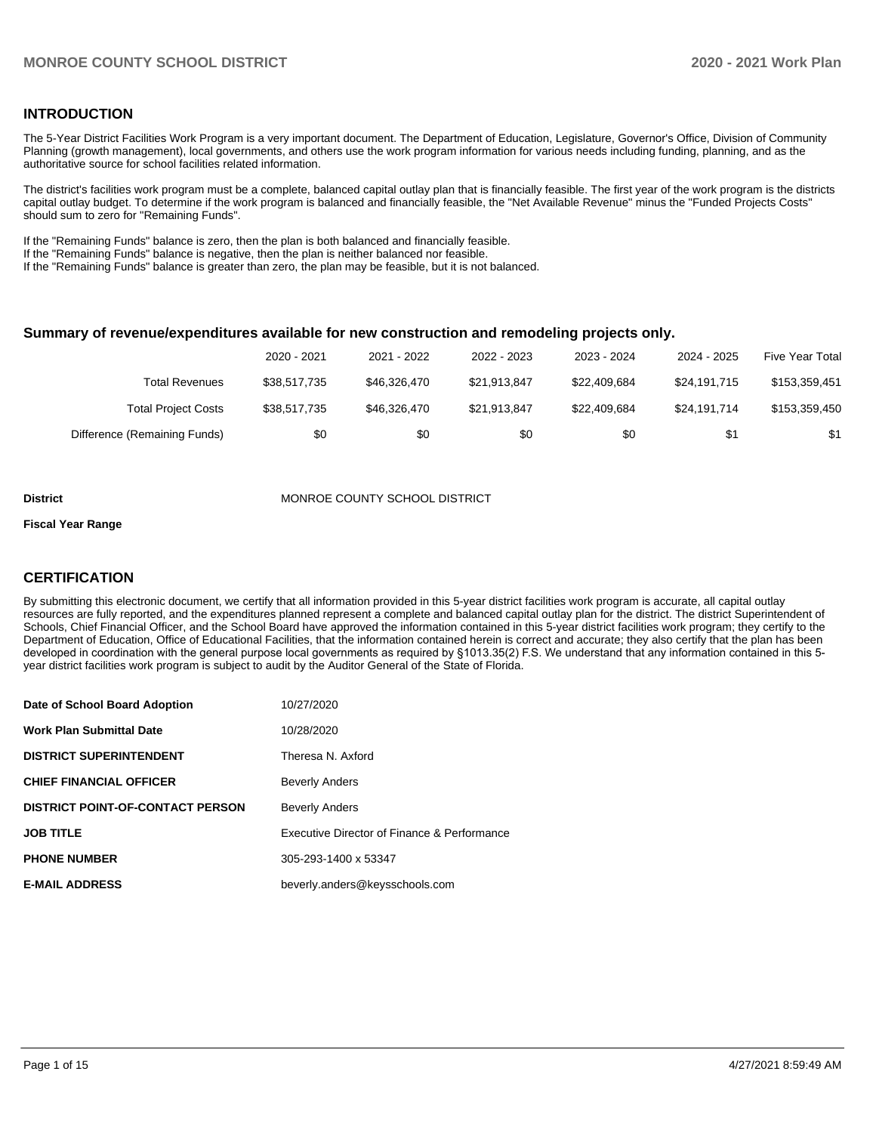### **INTRODUCTION**

The 5-Year District Facilities Work Program is a very important document. The Department of Education, Legislature, Governor's Office, Division of Community Planning (growth management), local governments, and others use the work program information for various needs including funding, planning, and as the authoritative source for school facilities related information.

The district's facilities work program must be a complete, balanced capital outlay plan that is financially feasible. The first year of the work program is the districts capital outlay budget. To determine if the work program is balanced and financially feasible, the "Net Available Revenue" minus the "Funded Projects Costs" should sum to zero for "Remaining Funds".

If the "Remaining Funds" balance is zero, then the plan is both balanced and financially feasible.

If the "Remaining Funds" balance is negative, then the plan is neither balanced nor feasible.

If the "Remaining Funds" balance is greater than zero, the plan may be feasible, but it is not balanced.

#### **Summary of revenue/expenditures available for new construction and remodeling projects only.**

|                              | 2020 - 2021  | 2021 - 2022  | 2022 - 2023  | 2023 - 2024  | 2024 - 2025  | <b>Five Year Total</b> |
|------------------------------|--------------|--------------|--------------|--------------|--------------|------------------------|
| Total Revenues               | \$38,517,735 | \$46,326,470 | \$21.913.847 | \$22.409.684 | \$24.191.715 | \$153,359,451          |
| <b>Total Project Costs</b>   | \$38,517,735 | \$46,326,470 | \$21.913.847 | \$22.409.684 | \$24.191.714 | \$153,359,450          |
| Difference (Remaining Funds) | \$0          | \$0          | \$0          | \$0          | \$1          | \$1                    |

#### **District MONROE COUNTY SCHOOL DISTRICT**

#### **Fiscal Year Range**

### **CERTIFICATION**

By submitting this electronic document, we certify that all information provided in this 5-year district facilities work program is accurate, all capital outlay resources are fully reported, and the expenditures planned represent a complete and balanced capital outlay plan for the district. The district Superintendent of Schools, Chief Financial Officer, and the School Board have approved the information contained in this 5-year district facilities work program; they certify to the Department of Education, Office of Educational Facilities, that the information contained herein is correct and accurate; they also certify that the plan has been developed in coordination with the general purpose local governments as required by §1013.35(2) F.S. We understand that any information contained in this 5 year district facilities work program is subject to audit by the Auditor General of the State of Florida.

| Date of School Board Adoption           | 10/27/2020                                  |
|-----------------------------------------|---------------------------------------------|
| <b>Work Plan Submittal Date</b>         | 10/28/2020                                  |
| <b>DISTRICT SUPERINTENDENT</b>          | Theresa N. Axford                           |
| <b>CHIEF FINANCIAL OFFICER</b>          | <b>Beverly Anders</b>                       |
| <b>DISTRICT POINT-OF-CONTACT PERSON</b> | <b>Beverly Anders</b>                       |
| <b>JOB TITLE</b>                        | Executive Director of Finance & Performance |
| <b>PHONE NUMBER</b>                     | 305-293-1400 x 53347                        |
| <b>E-MAIL ADDRESS</b>                   | beverly.anders@keysschools.com              |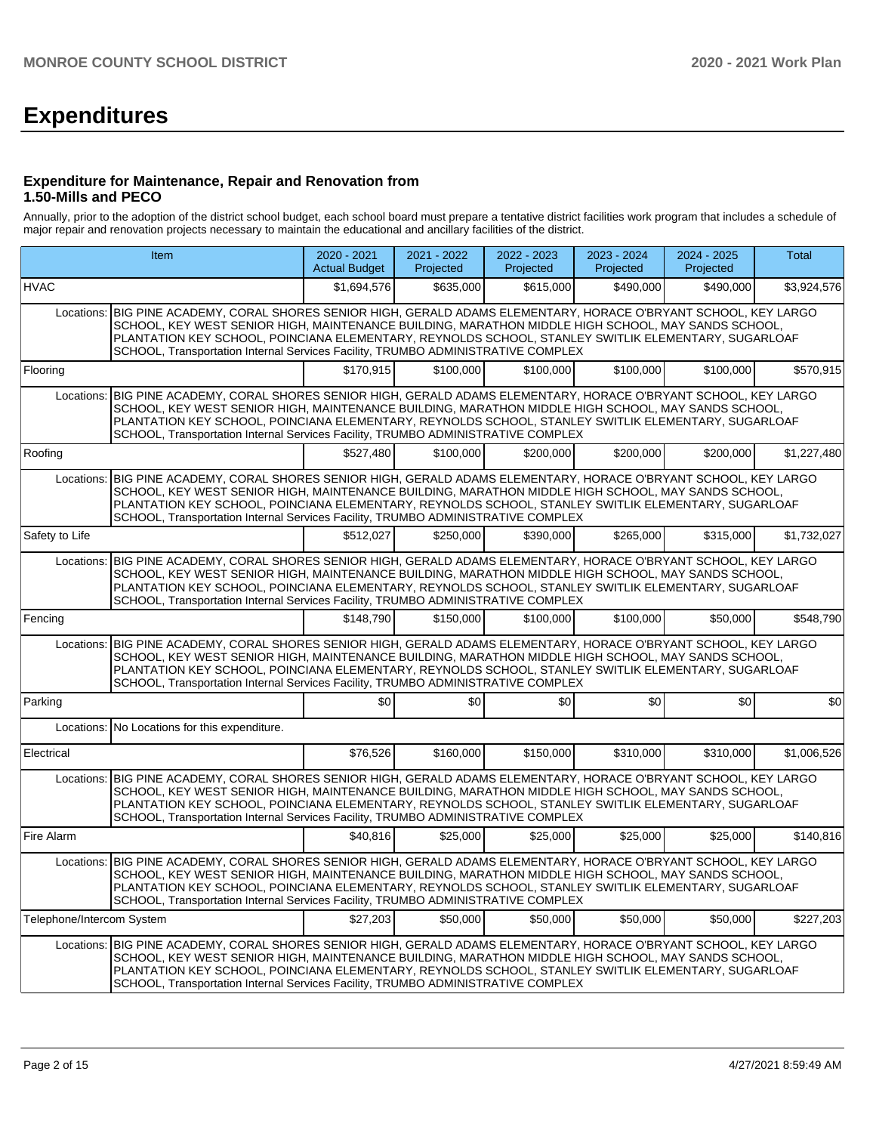# **Expenditures**

#### **Expenditure for Maintenance, Repair and Renovation from 1.50-Mills and PECO**

Annually, prior to the adoption of the district school budget, each school board must prepare a tentative district facilities work program that includes a schedule of major repair and renovation projects necessary to maintain the educational and ancillary facilities of the district.

| Item                                                                                                                                                                                                                                                                                                                                                                                                                  |                                                                                                                                                                                                                                                                                                                                                                                                                    | $2020 - 2021$<br><b>Actual Budget</b> | 2021 - 2022<br>Projected | 2022 - 2023<br>Projected | 2023 - 2024<br>Projected | 2024 - 2025<br>Projected | Total       |  |  |  |
|-----------------------------------------------------------------------------------------------------------------------------------------------------------------------------------------------------------------------------------------------------------------------------------------------------------------------------------------------------------------------------------------------------------------------|--------------------------------------------------------------------------------------------------------------------------------------------------------------------------------------------------------------------------------------------------------------------------------------------------------------------------------------------------------------------------------------------------------------------|---------------------------------------|--------------------------|--------------------------|--------------------------|--------------------------|-------------|--|--|--|
| <b>HVAC</b>                                                                                                                                                                                                                                                                                                                                                                                                           |                                                                                                                                                                                                                                                                                                                                                                                                                    | \$1,694,576                           | \$635,000                | \$615,000                | \$490.000                | \$490,000                | \$3,924,576 |  |  |  |
|                                                                                                                                                                                                                                                                                                                                                                                                                       | Locations: BIG PINE ACADEMY, CORAL SHORES SENIOR HIGH, GERALD ADAMS ELEMENTARY, HORACE O'BRYANT SCHOOL, KEY LARGO<br>SCHOOL, KEY WEST SENIOR HIGH, MAINTENANCE BUILDING, MARATHON MIDDLE HIGH SCHOOL, MAY SANDS SCHOOL,<br>PLANTATION KEY SCHOOL, POINCIANA ELEMENTARY, REYNOLDS SCHOOL, STANLEY SWITLIK ELEMENTARY, SUGARLOAF<br>SCHOOL, Transportation Internal Services Facility, TRUMBO ADMINISTRATIVE COMPLEX |                                       |                          |                          |                          |                          |             |  |  |  |
| Flooring                                                                                                                                                                                                                                                                                                                                                                                                              |                                                                                                                                                                                                                                                                                                                                                                                                                    | \$170.915                             | \$100,000                | \$100,000                | \$100,000                | \$100,000                | \$570,915   |  |  |  |
| BIG PINE ACADEMY, CORAL SHORES SENIOR HIGH, GERALD ADAMS ELEMENTARY, HORACE O'BRYANT SCHOOL, KEY LARGO<br>Locations:<br>SCHOOL, KEY WEST SENIOR HIGH, MAINTENANCE BUILDING, MARATHON MIDDLE HIGH SCHOOL, MAY SANDS SCHOOL,<br>PLANTATION KEY SCHOOL, POINCIANA ELEMENTARY, REYNOLDS SCHOOL, STANLEY SWITLIK ELEMENTARY, SUGARLOAF<br>SCHOOL, Transportation Internal Services Facility, TRUMBO ADMINISTRATIVE COMPLEX |                                                                                                                                                                                                                                                                                                                                                                                                                    |                                       |                          |                          |                          |                          |             |  |  |  |
| Roofing                                                                                                                                                                                                                                                                                                                                                                                                               |                                                                                                                                                                                                                                                                                                                                                                                                                    | \$527,480                             | \$100,000                | \$200,000                | \$200,000                | \$200,000                | \$1,227,480 |  |  |  |
| Locations:                                                                                                                                                                                                                                                                                                                                                                                                            | BIG PINE ACADEMY, CORAL SHORES SENIOR HIGH, GERALD ADAMS ELEMENTARY, HORACE O'BRYANT SCHOOL, KEY LARGO<br>SCHOOL, KEY WEST SENIOR HIGH, MAINTENANCE BUILDING, MARATHON MIDDLE HIGH SCHOOL, MAY SANDS SCHOOL,<br>PLANTATION KEY SCHOOL, POINCIANA ELEMENTARY, REYNOLDS SCHOOL, STANLEY SWITLIK ELEMENTARY, SUGARLOAF<br>SCHOOL, Transportation Internal Services Facility, TRUMBO ADMINISTRATIVE COMPLEX            |                                       |                          |                          |                          |                          |             |  |  |  |
| Safety to Life                                                                                                                                                                                                                                                                                                                                                                                                        |                                                                                                                                                                                                                                                                                                                                                                                                                    | \$512,027                             | \$250,000                | \$390,000                | \$265,000                | \$315,000                | \$1,732,027 |  |  |  |
| BIG PINE ACADEMY, CORAL SHORES SENIOR HIGH, GERALD ADAMS ELEMENTARY, HORACE O'BRYANT SCHOOL, KEY LARGO<br>Locations:<br>SCHOOL, KEY WEST SENIOR HIGH, MAINTENANCE BUILDING, MARATHON MIDDLE HIGH SCHOOL, MAY SANDS SCHOOL,<br>PLANTATION KEY SCHOOL, POINCIANA ELEMENTARY, REYNOLDS SCHOOL, STANLEY SWITLIK ELEMENTARY, SUGARLOAF<br>SCHOOL, Transportation Internal Services Facility, TRUMBO ADMINISTRATIVE COMPLEX |                                                                                                                                                                                                                                                                                                                                                                                                                    |                                       |                          |                          |                          |                          |             |  |  |  |
| Fencing                                                                                                                                                                                                                                                                                                                                                                                                               |                                                                                                                                                                                                                                                                                                                                                                                                                    | \$148,790                             | \$150,000                | \$100,000                | \$100,000                | \$50,000                 | \$548,790   |  |  |  |
| Locations:                                                                                                                                                                                                                                                                                                                                                                                                            | BIG PINE ACADEMY, CORAL SHORES SENIOR HIGH, GERALD ADAMS ELEMENTARY, HORACE O'BRYANT SCHOOL, KEY LARGO<br>SCHOOL, KEY WEST SENIOR HIGH, MAINTENANCE BUILDING, MARATHON MIDDLE HIGH SCHOOL, MAY SANDS SCHOOL,<br>PLANTATION KEY SCHOOL, POINCIANA ELEMENTARY, REYNOLDS SCHOOL, STANLEY SWITLIK ELEMENTARY, SUGARLOAF<br>SCHOOL, Transportation Internal Services Facility, TRUMBO ADMINISTRATIVE COMPLEX            |                                       |                          |                          |                          |                          |             |  |  |  |
| Parking                                                                                                                                                                                                                                                                                                                                                                                                               |                                                                                                                                                                                                                                                                                                                                                                                                                    | \$0                                   | \$0                      | \$0                      | \$0                      | \$0                      | \$0         |  |  |  |
| Locations:                                                                                                                                                                                                                                                                                                                                                                                                            | No Locations for this expenditure.                                                                                                                                                                                                                                                                                                                                                                                 |                                       |                          |                          |                          |                          |             |  |  |  |
| Electrical                                                                                                                                                                                                                                                                                                                                                                                                            |                                                                                                                                                                                                                                                                                                                                                                                                                    | \$76,526                              | \$160,000                | \$150,000                | \$310,000                | \$310,000                | \$1,006,526 |  |  |  |
|                                                                                                                                                                                                                                                                                                                                                                                                                       | Locations: BIG PINE ACADEMY, CORAL SHORES SENIOR HIGH, GERALD ADAMS ELEMENTARY, HORACE O'BRYANT SCHOOL, KEY LARGO<br>SCHOOL, KEY WEST SENIOR HIGH, MAINTENANCE BUILDING, MARATHON MIDDLE HIGH SCHOOL, MAY SANDS SCHOOL,<br>PLANTATION KEY SCHOOL, POINCIANA ELEMENTARY, REYNOLDS SCHOOL, STANLEY SWITLIK ELEMENTARY, SUGARLOAF<br>SCHOOL, Transportation Internal Services Facility, TRUMBO ADMINISTRATIVE COMPLEX |                                       |                          |                          |                          |                          |             |  |  |  |
| Fire Alarm                                                                                                                                                                                                                                                                                                                                                                                                            |                                                                                                                                                                                                                                                                                                                                                                                                                    | \$40.816                              | \$25,000                 | \$25,000                 | \$25,000                 | \$25,000                 | \$140,816   |  |  |  |
|                                                                                                                                                                                                                                                                                                                                                                                                                       | Locations: BIG PINE ACADEMY, CORAL SHORES SENIOR HIGH, GERALD ADAMS ELEMENTARY, HORACE O'BRYANT SCHOOL, KEY LARGO<br>SCHOOL, KEY WEST SENIOR HIGH, MAINTENANCE BUILDING, MARATHON MIDDLE HIGH SCHOOL, MAY SANDS SCHOOL,<br>PLANTATION KEY SCHOOL, POINCIANA ELEMENTARY, REYNOLDS SCHOOL, STANLEY SWITLIK ELEMENTARY, SUGARLOAF<br>SCHOOL, Transportation Internal Services Facility, TRUMBO ADMINISTRATIVE COMPLEX |                                       |                          |                          |                          |                          |             |  |  |  |
| Telephone/Intercom System                                                                                                                                                                                                                                                                                                                                                                                             |                                                                                                                                                                                                                                                                                                                                                                                                                    | \$27,203                              | \$50,000                 | \$50,000                 | \$50,000                 | \$50,000                 | \$227,203   |  |  |  |
|                                                                                                                                                                                                                                                                                                                                                                                                                       | Locations: BIG PINE ACADEMY, CORAL SHORES SENIOR HIGH, GERALD ADAMS ELEMENTARY, HORACE O'BRYANT SCHOOL, KEY LARGO<br>SCHOOL, KEY WEST SENIOR HIGH, MAINTENANCE BUILDING, MARATHON MIDDLE HIGH SCHOOL, MAY SANDS SCHOOL,<br>PLANTATION KEY SCHOOL, POINCIANA ELEMENTARY, REYNOLDS SCHOOL, STANLEY SWITLIK ELEMENTARY, SUGARLOAF<br>SCHOOL, Transportation Internal Services Facility, TRUMBO ADMINISTRATIVE COMPLEX |                                       |                          |                          |                          |                          |             |  |  |  |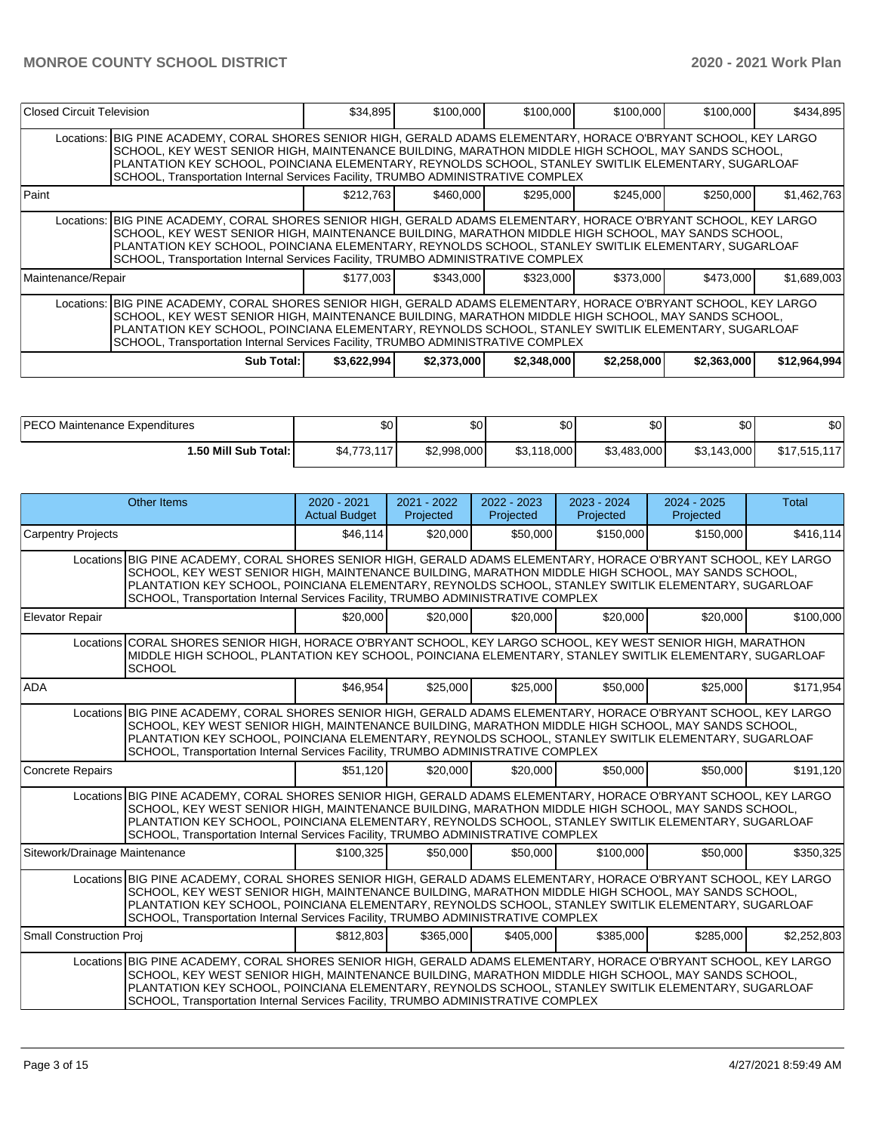|                                                                                                                                                                                                                                                                                                                                                                                                                     | Closed Circuit Television                                                                                                                                                                                                                                                                                                                                                                                          |           | \$100,000<br>\$34,895 | \$100,000 | \$100,000 | \$100,000 | \$434,895   |  |  |  |
|---------------------------------------------------------------------------------------------------------------------------------------------------------------------------------------------------------------------------------------------------------------------------------------------------------------------------------------------------------------------------------------------------------------------|--------------------------------------------------------------------------------------------------------------------------------------------------------------------------------------------------------------------------------------------------------------------------------------------------------------------------------------------------------------------------------------------------------------------|-----------|-----------------------|-----------|-----------|-----------|-------------|--|--|--|
|                                                                                                                                                                                                                                                                                                                                                                                                                     | Locations: BIG PINE ACADEMY, CORAL SHORES SENIOR HIGH, GERALD ADAMS ELEMENTARY, HORACE O'BRYANT SCHOOL, KEY LARGO<br>SCHOOL, KEY WEST SENIOR HIGH, MAINTENANCE BUILDING, MARATHON MIDDLE HIGH SCHOOL, MAY SANDS SCHOOL,<br>PLANTATION KEY SCHOOL, POINCIANA ELEMENTARY, REYNOLDS SCHOOL, STANLEY SWITLIK ELEMENTARY, SUGARLOAF<br>SCHOOL, Transportation Internal Services Facility, TRUMBO ADMINISTRATIVE COMPLEX |           |                       |           |           |           |             |  |  |  |
| <b>Paint</b>                                                                                                                                                                                                                                                                                                                                                                                                        |                                                                                                                                                                                                                                                                                                                                                                                                                    | \$212.763 | \$460.000             | \$295.000 | \$245,000 | \$250,000 | \$1,462,763 |  |  |  |
|                                                                                                                                                                                                                                                                                                                                                                                                                     | Locations: BIG PINE ACADEMY, CORAL SHORES SENIOR HIGH, GERALD ADAMS ELEMENTARY, HORACE O'BRYANT SCHOOL, KEY LARGO<br>SCHOOL, KEY WEST SENIOR HIGH, MAINTENANCE BUILDING, MARATHON MIDDLE HIGH SCHOOL, MAY SANDS SCHOOL,<br>PLANTATION KEY SCHOOL, POINCIANA ELEMENTARY, REYNOLDS SCHOOL, STANLEY SWITLIK ELEMENTARY, SUGARLOAF<br>SCHOOL, Transportation Internal Services Facility, TRUMBO ADMINISTRATIVE COMPLEX |           |                       |           |           |           |             |  |  |  |
| Maintenance/Repair                                                                                                                                                                                                                                                                                                                                                                                                  |                                                                                                                                                                                                                                                                                                                                                                                                                    | \$177,003 | \$343,000             | \$323,000 | \$373,000 | \$473,000 | \$1,689,003 |  |  |  |
| Locations: BIG PINE ACADEMY, CORAL SHORES SENIOR HIGH, GERALD ADAMS ELEMENTARY, HORACE O'BRYANT SCHOOL, KEY LARGO<br>ISCHOOL. KEY WEST SENIOR HIGH. MAINTENANCE BUILDING. MARATHON MIDDLE HIGH SCHOOL. MAY SANDS SCHOOL.<br>PLANTATION KEY SCHOOL, POINCIANA ELEMENTARY, REYNOLDS SCHOOL, STANLEY SWITLIK ELEMENTARY, SUGARLOAF<br>SCHOOL, Transportation Internal Services Facility, TRUMBO ADMINISTRATIVE COMPLEX |                                                                                                                                                                                                                                                                                                                                                                                                                    |           |                       |           |           |           |             |  |  |  |
|                                                                                                                                                                                                                                                                                                                                                                                                                     | \$3,622,994<br>\$2,373,000<br>\$2,258,000<br>\$2,363,000<br>Sub Total: I<br>\$2,348,000<br>\$12,964,994                                                                                                                                                                                                                                                                                                            |           |                       |           |           |           |             |  |  |  |

| <b>IPECO Maintenance Expenditures</b> | \$0         | \$0         | \$0         | 30          | \$0         | \$0          |
|---------------------------------------|-------------|-------------|-------------|-------------|-------------|--------------|
| 1.50 Mill Sub Total:                  | \$4,773,117 | \$2,998,000 | \$3,118,000 | \$3,483,000 | \$3,143,000 | \$17,515,117 |

|                                | <b>Other Items</b>                                                                                                                                                                                                                                                                                                                                                                                                | 2020 - 2021<br><b>Actual Budget</b> | 2021 - 2022<br>Projected | 2022 - 2023<br>Projected | $2023 - 2024$<br>Projected | 2024 - 2025<br>Projected | <b>Total</b> |
|--------------------------------|-------------------------------------------------------------------------------------------------------------------------------------------------------------------------------------------------------------------------------------------------------------------------------------------------------------------------------------------------------------------------------------------------------------------|-------------------------------------|--------------------------|--------------------------|----------------------------|--------------------------|--------------|
| <b>Carpentry Projects</b>      |                                                                                                                                                                                                                                                                                                                                                                                                                   | \$46.114                            | \$20,000                 | \$50,000                 | \$150,000                  | \$150,000                | \$416,114    |
|                                | Locations BIG PINE ACADEMY, CORAL SHORES SENIOR HIGH, GERALD ADAMS ELEMENTARY, HORACE O'BRYANT SCHOOL, KEY LARGO<br>SCHOOL, KEY WEST SENIOR HIGH, MAINTENANCE BUILDING, MARATHON MIDDLE HIGH SCHOOL, MAY SANDS SCHOOL,<br>PLANTATION KEY SCHOOL, POINCIANA ELEMENTARY, REYNOLDS SCHOOL, STANLEY SWITLIK ELEMENTARY, SUGARLOAF<br>SCHOOL, Transportation Internal Services Facility, TRUMBO ADMINISTRATIVE COMPLEX |                                     |                          |                          |                            |                          |              |
| Elevator Repair                |                                                                                                                                                                                                                                                                                                                                                                                                                   | \$20,000                            | \$20,000                 | \$20,000                 | \$20,000                   | \$20,000                 | \$100,000    |
|                                | Locations CORAL SHORES SENIOR HIGH, HORACE O'BRYANT SCHOOL, KEY LARGO SCHOOL, KEY WEST SENIOR HIGH, MARATHON<br>MIDDLE HIGH SCHOOL, PLANTATION KEY SCHOOL, POINCIANA ELEMENTARY, STANLEY SWITLIK ELEMENTARY, SUGARLOAF<br><b>SCHOOL</b>                                                                                                                                                                           |                                     |                          |                          |                            |                          |              |
| ADA                            |                                                                                                                                                                                                                                                                                                                                                                                                                   | \$46.954                            | \$25,000                 | \$25,000                 | \$50,000                   | \$25,000                 | \$171,954    |
|                                | Locations BIG PINE ACADEMY, CORAL SHORES SENIOR HIGH, GERALD ADAMS ELEMENTARY, HORACE O'BRYANT SCHOOL, KEY LARGO<br>SCHOOL, KEY WEST SENIOR HIGH, MAINTENANCE BUILDING, MARATHON MIDDLE HIGH SCHOOL, MAY SANDS SCHOOL,<br>PLANTATION KEY SCHOOL, POINCIANA ELEMENTARY, REYNOLDS SCHOOL, STANLEY SWITLIK ELEMENTARY, SUGARLOAF<br>SCHOOL, Transportation Internal Services Facility, TRUMBO ADMINISTRATIVE COMPLEX |                                     |                          |                          |                            |                          |              |
| <b>Concrete Repairs</b>        |                                                                                                                                                                                                                                                                                                                                                                                                                   | \$51,120                            | \$20,000                 | \$20,000                 | \$50,000                   | \$50,000                 | \$191,120    |
|                                | Locations BIG PINE ACADEMY, CORAL SHORES SENIOR HIGH, GERALD ADAMS ELEMENTARY, HORACE O'BRYANT SCHOOL, KEY LARGO<br>SCHOOL, KEY WEST SENIOR HIGH, MAINTENANCE BUILDING, MARATHON MIDDLE HIGH SCHOOL, MAY SANDS SCHOOL,<br>PLANTATION KEY SCHOOL, POINCIANA ELEMENTARY, REYNOLDS SCHOOL, STANLEY SWITLIK ELEMENTARY, SUGARLOAF<br>SCHOOL, Transportation Internal Services Facility, TRUMBO ADMINISTRATIVE COMPLEX |                                     |                          |                          |                            |                          |              |
| Sitework/Drainage Maintenance  |                                                                                                                                                                                                                                                                                                                                                                                                                   | \$100,325                           | \$50,000                 | \$50,000                 | \$100,000                  | \$50,000                 | \$350,325    |
|                                | Locations BIG PINE ACADEMY, CORAL SHORES SENIOR HIGH, GERALD ADAMS ELEMENTARY, HORACE O'BRYANT SCHOOL, KEY LARGO<br>SCHOOL, KEY WEST SENIOR HIGH, MAINTENANCE BUILDING, MARATHON MIDDLE HIGH SCHOOL, MAY SANDS SCHOOL,<br>PLANTATION KEY SCHOOL, POINCIANA ELEMENTARY, REYNOLDS SCHOOL, STANLEY SWITLIK ELEMENTARY, SUGARLOAF<br>SCHOOL, Transportation Internal Services Facility, TRUMBO ADMINISTRATIVE COMPLEX |                                     |                          |                          |                            |                          |              |
| <b>Small Construction Proj</b> |                                                                                                                                                                                                                                                                                                                                                                                                                   | \$812,803                           | \$365,000                | \$405.000                | \$385,000                  | \$285,000                | \$2,252,803  |
|                                | Locations BIG PINE ACADEMY, CORAL SHORES SENIOR HIGH, GERALD ADAMS ELEMENTARY, HORACE O'BRYANT SCHOOL, KEY LARGO<br>SCHOOL, KEY WEST SENIOR HIGH, MAINTENANCE BUILDING, MARATHON MIDDLE HIGH SCHOOL, MAY SANDS SCHOOL,<br>PLANTATION KEY SCHOOL, POINCIANA ELEMENTARY, REYNOLDS SCHOOL, STANLEY SWITLIK ELEMENTARY, SUGARLOAF<br>SCHOOL, Transportation Internal Services Facility, TRUMBO ADMINISTRATIVE COMPLEX |                                     |                          |                          |                            |                          |              |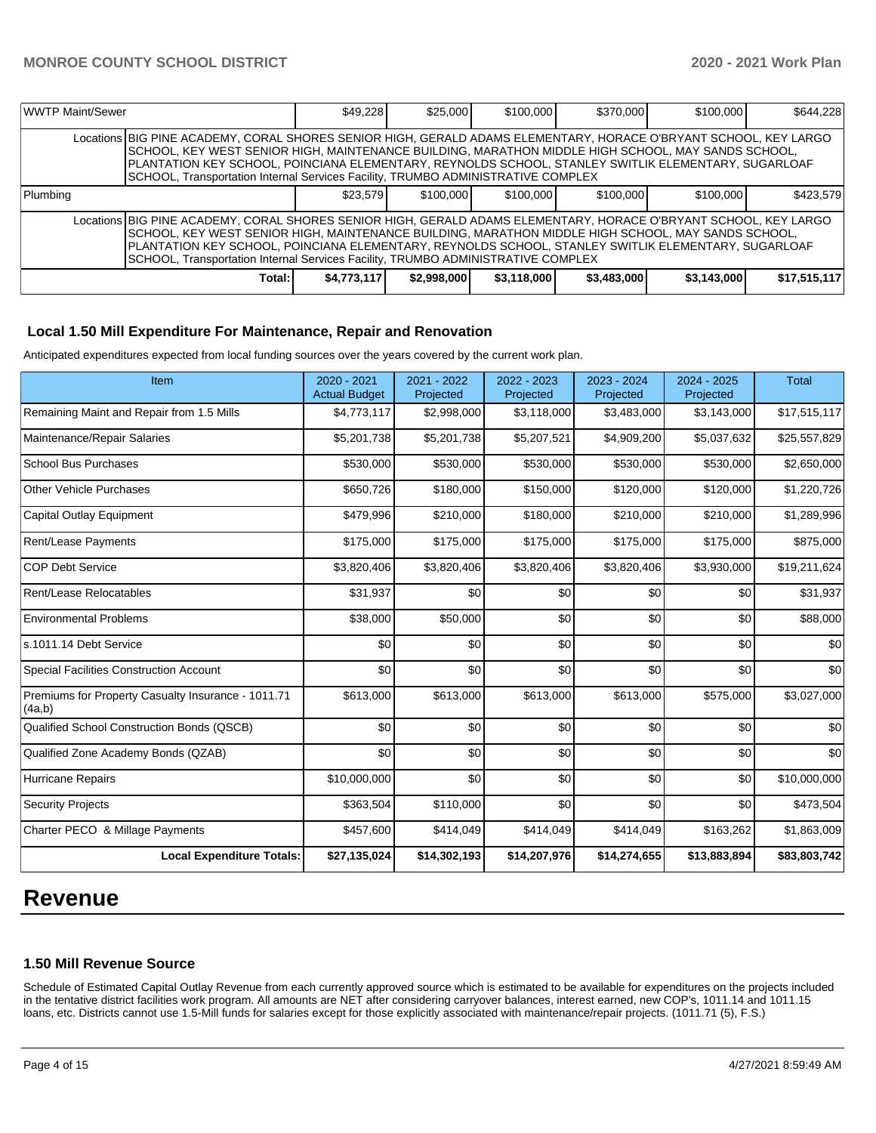| WWTP Maint/Sewer |                                                                                                                                                                                                                                                                                                                                                                                                                   | \$49.228    | \$25,000    | \$100,000   | \$370,000   | \$100,000   | \$644,228    |  |  |
|------------------|-------------------------------------------------------------------------------------------------------------------------------------------------------------------------------------------------------------------------------------------------------------------------------------------------------------------------------------------------------------------------------------------------------------------|-------------|-------------|-------------|-------------|-------------|--------------|--|--|
|                  | Locations BIG PINE ACADEMY, CORAL SHORES SENIOR HIGH, GERALD ADAMS ELEMENTARY, HORACE O'BRYANT SCHOOL, KEY LARGO<br>SCHOOL, KEY WEST SENIOR HIGH, MAINTENANCE BUILDING, MARATHON MIDDLE HIGH SCHOOL, MAY SANDS SCHOOL,<br>PLANTATION KEY SCHOOL, POINCIANA ELEMENTARY, REYNOLDS SCHOOL, STANLEY SWITLIK ELEMENTARY, SUGARLOAF<br>SCHOOL, Transportation Internal Services Facility, TRUMBO ADMINISTRATIVE COMPLEX |             |             |             |             |             |              |  |  |
| Plumbing         |                                                                                                                                                                                                                                                                                                                                                                                                                   | \$23.579    | \$100,000   | \$100,000   | \$100,000   | \$100,000   | \$423,579    |  |  |
|                  | Locations BIG PINE ACADEMY, CORAL SHORES SENIOR HIGH, GERALD ADAMS ELEMENTARY, HORACE O'BRYANT SCHOOL, KEY LARGO<br>SCHOOL, KEY WEST SENIOR HIGH, MAINTENANCE BUILDING, MARATHON MIDDLE HIGH SCHOOL, MAY SANDS SCHOOL,<br>PLANTATION KEY SCHOOL, POINCIANA ELEMENTARY, REYNOLDS SCHOOL, STANLEY SWITLIK ELEMENTARY, SUGARLOAF<br>SCHOOL, Transportation Internal Services Facility, TRUMBO ADMINISTRATIVE COMPLEX |             |             |             |             |             |              |  |  |
|                  | Total:                                                                                                                                                                                                                                                                                                                                                                                                            | \$4,773,117 | \$2,998,000 | \$3,118,000 | \$3,483,000 | \$3,143,000 | \$17,515,117 |  |  |

#### **Local 1.50 Mill Expenditure For Maintenance, Repair and Renovation**

Anticipated expenditures expected from local funding sources over the years covered by the current work plan.

| Item                                                         | 2020 - 2021<br><b>Actual Budget</b> | 2021 - 2022<br>Projected | 2022 - 2023<br>Projected | 2023 - 2024<br>Projected | 2024 - 2025<br>Projected | <b>Total</b> |
|--------------------------------------------------------------|-------------------------------------|--------------------------|--------------------------|--------------------------|--------------------------|--------------|
| Remaining Maint and Repair from 1.5 Mills                    | \$4,773,117                         | \$2,998,000              | \$3,118,000              | \$3,483,000              | \$3,143,000              | \$17,515,117 |
| Maintenance/Repair Salaries                                  | \$5,201,738                         | \$5,201,738              | \$5,207,521              | \$4,909,200              | \$5,037,632              | \$25,557,829 |
| <b>School Bus Purchases</b>                                  | \$530,000                           | \$530,000                | \$530,000                | \$530,000                | \$530,000                | \$2,650,000  |
| <b>Other Vehicle Purchases</b>                               | \$650,726                           | \$180,000                | \$150,000                | \$120,000                | \$120,000                | \$1,220,726  |
| Capital Outlay Equipment                                     | \$479,996                           | \$210,000                | \$180,000                | \$210,000                | \$210,000                | \$1,289,996  |
| <b>Rent/Lease Payments</b>                                   | \$175,000                           | \$175,000                | \$175,000                | \$175,000                | \$175,000                | \$875,000    |
| <b>COP Debt Service</b>                                      | \$3,820,406                         | \$3,820,406              | \$3,820,406              | \$3,820,406              | \$3,930,000              | \$19,211,624 |
| Rent/Lease Relocatables                                      | \$31,937                            | \$0                      | \$0                      | \$0                      | \$0                      | \$31,937     |
| <b>Environmental Problems</b>                                | \$38,000                            | \$50,000                 | \$0                      | \$0                      | \$0                      | \$88,000     |
| ls.1011.14 Debt Service                                      | \$0                                 | \$0                      | \$0                      | \$0                      | \$0                      | \$0          |
| <b>Special Facilities Construction Account</b>               | \$0                                 | \$0                      | \$0                      | \$0                      | \$0                      | \$0          |
| Premiums for Property Casualty Insurance - 1011.71<br>(4a,b) | \$613,000                           | \$613,000                | \$613,000                | \$613,000                | \$575,000                | \$3,027,000  |
| Qualified School Construction Bonds (QSCB)                   | \$0                                 | \$0                      | \$0                      | \$0                      | \$0                      | \$0          |
| Qualified Zone Academy Bonds (QZAB)                          | \$0                                 | \$0                      | \$0                      | \$0                      | \$0                      | \$0          |
| <b>Hurricane Repairs</b>                                     | \$10,000,000                        | \$0                      | \$0                      | \$0                      | \$0                      | \$10,000,000 |
| <b>Security Projects</b>                                     | \$363,504                           | \$110,000                | \$0                      | \$0                      | \$0                      | \$473,504    |
| Charter PECO & Millage Payments                              | \$457,600                           | \$414,049                | \$414,049                | \$414,049                | \$163,262                | \$1,863,009  |
| <b>Local Expenditure Totals:</b>                             | \$27,135,024                        | \$14,302,193             | \$14,207,976             | \$14,274,655             | \$13,883,894             | \$83,803,742 |

# **Revenue**

#### **1.50 Mill Revenue Source**

Schedule of Estimated Capital Outlay Revenue from each currently approved source which is estimated to be available for expenditures on the projects included in the tentative district facilities work program. All amounts are NET after considering carryover balances, interest earned, new COP's, 1011.14 and 1011.15 loans, etc. Districts cannot use 1.5-Mill funds for salaries except for those explicitly associated with maintenance/repair projects. (1011.71 (5), F.S.)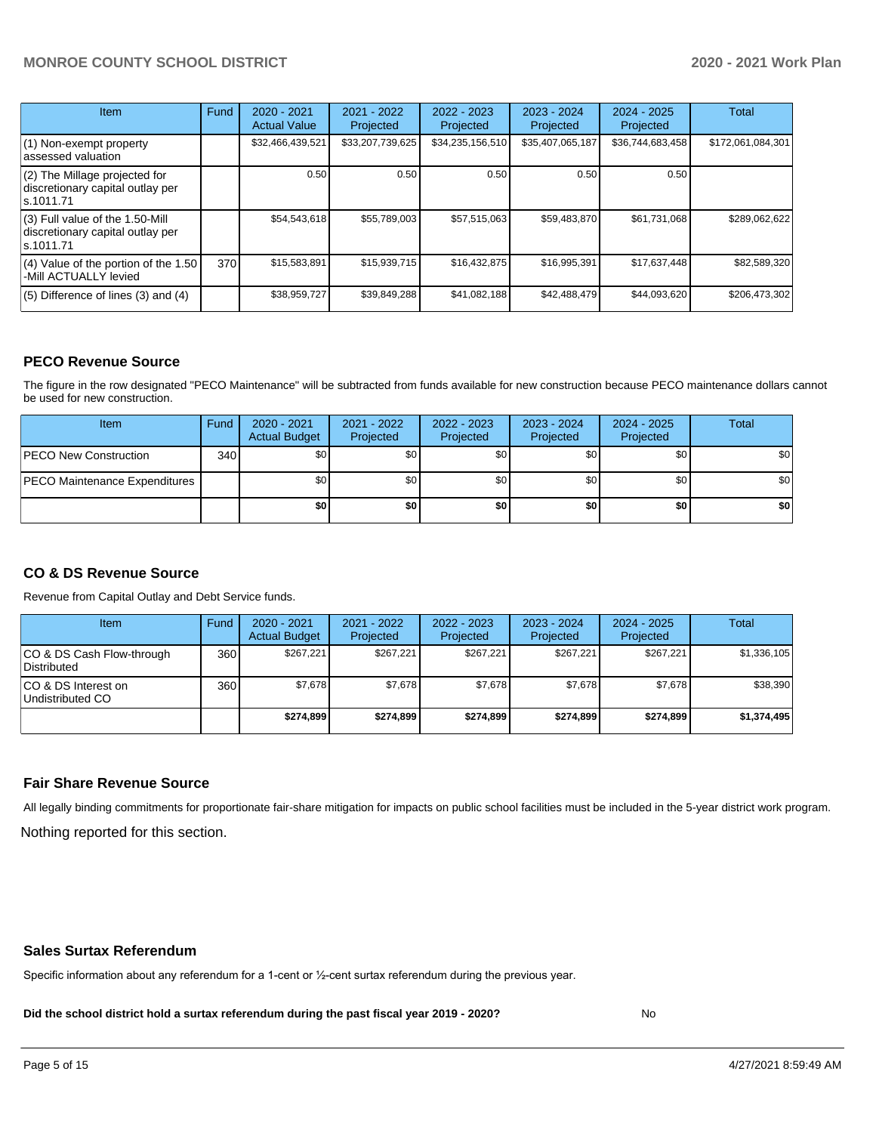# **MONROE COUNTY SCHOOL DISTRICT 2020 - 2021 Work Plan**

| <b>Item</b>                                                                         | Fund | $2020 - 2021$<br><b>Actual Value</b> | $2021 - 2022$<br>Projected | $2022 - 2023$<br>Projected | $2023 - 2024$<br>Projected | $2024 - 2025$<br>Projected | Total             |
|-------------------------------------------------------------------------------------|------|--------------------------------------|----------------------------|----------------------------|----------------------------|----------------------------|-------------------|
| $(1)$ Non-exempt property<br>lassessed valuation                                    |      | \$32,466,439,521                     | \$33,207,739,625           | \$34,235,156,510           | \$35,407,065,187           | \$36,744,683,458           | \$172,061,084,301 |
| $(2)$ The Millage projected for<br>discretionary capital outlay per<br>ls.1011.71   |      | 0.50                                 | 0.50                       | 0.50                       | 0.50                       | 0.50                       |                   |
| $(3)$ Full value of the 1.50-Mill<br>discretionary capital outlay per<br>ls.1011.71 |      | \$54,543,618                         | \$55,789,003               | \$57,515,063               | \$59,483,870               | \$61,731,068               | \$289.062.622     |
| $(4)$ Value of the portion of the 1.50<br>-Mill ACTUALLY levied                     | 370  | \$15,583,891                         | \$15,939,715               | \$16,432,875               | \$16,995,391               | \$17,637,448               | \$82,589,320      |
| $(5)$ Difference of lines (3) and (4)                                               |      | \$38,959,727                         | \$39,849,288               | \$41,082,188               | \$42,488,479               | \$44,093,620               | \$206,473,302     |

### **PECO Revenue Source**

The figure in the row designated "PECO Maintenance" will be subtracted from funds available for new construction because PECO maintenance dollars cannot be used for new construction.

| Item                                 | Fund | $2020 - 2021$<br><b>Actual Budget</b> | 2021 - 2022<br>Projected | 2022 - 2023<br>Projected | 2023 - 2024<br>Projected | $2024 - 2025$<br>Projected | Total            |
|--------------------------------------|------|---------------------------------------|--------------------------|--------------------------|--------------------------|----------------------------|------------------|
| <b>PECO New Construction</b>         | 340  | \$0                                   | \$0 <sub>1</sub>         | \$0                      | \$0 <sub>0</sub>         | \$0 <sub>1</sub>           | \$0 <sub>1</sub> |
| <b>PECO Maintenance Expenditures</b> |      | ا 30                                  | \$٥Ι                     | \$0                      | \$0 <sub>1</sub>         | \$0                        | \$0              |
|                                      |      | \$0                                   | \$0                      | \$0                      | \$0                      | \$0                        | \$0              |

# **CO & DS Revenue Source**

Revenue from Capital Outlay and Debt Service funds.

| <b>Item</b>                               | Fund | $2020 - 2021$<br><b>Actual Budget</b> | 2021 - 2022<br>Projected | 2022 - 2023<br>Projected | $2023 - 2024$<br>Projected | $2024 - 2025$<br>Projected | Total       |
|-------------------------------------------|------|---------------------------------------|--------------------------|--------------------------|----------------------------|----------------------------|-------------|
| ICO & DS Cash Flow-through<br>Distributed | 360  | \$267.221                             | \$267.221                | \$267.221                | \$267.221                  | \$267.221                  | \$1,336,105 |
| ICO & DS Interest on<br>Undistributed CO  | 360  | \$7.678                               | \$7.678                  | \$7.678                  | \$7.678                    | \$7,678                    | \$38,390    |
|                                           |      | \$274.899                             | \$274.899                | \$274.899                | \$274.899                  | \$274.899                  | \$1,374,495 |

#### **Fair Share Revenue Source**

Nothing reported for this section. All legally binding commitments for proportionate fair-share mitigation for impacts on public school facilities must be included in the 5-year district work program.

#### **Sales Surtax Referendum**

Specific information about any referendum for a 1-cent or ½-cent surtax referendum during the previous year.

**Did the school district hold a surtax referendum during the past fiscal year 2019 - 2020?**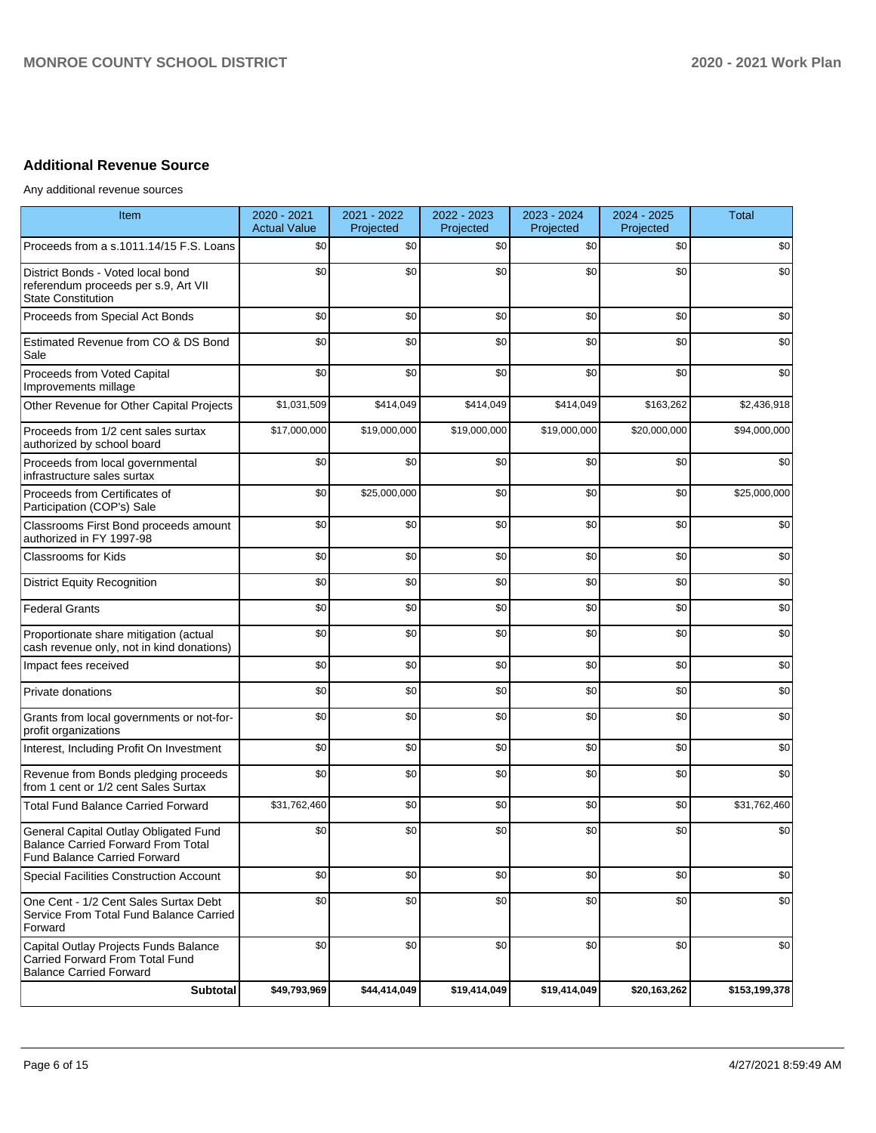# **Additional Revenue Source**

Any additional revenue sources

| Item                                                                                                        | 2020 - 2021<br><b>Actual Value</b> | 2021 - 2022<br>Projected | 2022 - 2023<br>Projected | 2023 - 2024<br>Projected | 2024 - 2025<br>Projected | <b>Total</b>  |
|-------------------------------------------------------------------------------------------------------------|------------------------------------|--------------------------|--------------------------|--------------------------|--------------------------|---------------|
| Proceeds from a s.1011.14/15 F.S. Loans                                                                     | \$0                                | \$0                      | \$0                      | \$0                      | \$0                      | \$0           |
| District Bonds - Voted local bond<br>referendum proceeds per s.9, Art VII<br><b>State Constitution</b>      | \$0                                | \$0                      | \$0                      | \$0                      | \$0                      | \$0           |
| Proceeds from Special Act Bonds                                                                             | \$0                                | \$0                      | \$0                      | \$0                      | \$0                      | \$0           |
| Estimated Revenue from CO & DS Bond<br>Sale                                                                 | \$0                                | \$0                      | \$0                      | \$0                      | \$0                      | \$0           |
| Proceeds from Voted Capital<br>Improvements millage                                                         | \$0                                | \$0                      | \$0                      | \$0                      | \$0                      | \$0           |
| Other Revenue for Other Capital Projects                                                                    | \$1,031,509                        | \$414,049                | \$414,049                | \$414,049                | \$163,262                | \$2,436,918   |
| Proceeds from 1/2 cent sales surtax<br>authorized by school board                                           | \$17,000,000                       | \$19,000,000             | \$19,000,000             | \$19,000,000             | \$20,000,000             | \$94,000,000  |
| Proceeds from local governmental<br>infrastructure sales surtax                                             | \$0                                | \$0                      | \$0                      | \$0                      | \$0                      | \$0           |
| Proceeds from Certificates of<br>Participation (COP's) Sale                                                 | \$0                                | \$25,000,000             | \$0                      | \$0                      | \$0                      | \$25,000,000  |
| Classrooms First Bond proceeds amount<br>authorized in FY 1997-98                                           | \$0                                | \$0                      | \$0                      | \$0                      | \$0                      | \$0           |
| Classrooms for Kids                                                                                         | \$0                                | \$0                      | \$0                      | \$0                      | \$0                      | \$0           |
| <b>District Equity Recognition</b>                                                                          | \$0                                | \$0                      | \$0                      | \$0                      | \$0                      | \$0           |
| <b>Federal Grants</b>                                                                                       | \$0                                | \$0                      | \$0                      | \$0                      | \$0                      | \$0           |
| Proportionate share mitigation (actual<br>cash revenue only, not in kind donations)                         | \$0                                | \$0                      | \$0                      | \$0                      | \$0                      | \$0           |
| Impact fees received                                                                                        | \$0                                | \$0                      | \$0                      | \$0                      | \$0                      | \$0           |
| Private donations                                                                                           | \$0                                | \$0                      | \$0                      | \$0                      | \$0                      | \$0           |
| Grants from local governments or not-for-<br>profit organizations                                           | \$0                                | \$0                      | \$0                      | \$0                      | \$0                      | \$0           |
| Interest, Including Profit On Investment                                                                    | \$0                                | \$0                      | \$0                      | \$0                      | \$0                      | \$0           |
| Revenue from Bonds pledging proceeds<br>from 1 cent or 1/2 cent Sales Surtax                                | \$0                                | \$0                      | \$0                      | \$0                      | \$0                      | \$0           |
| <b>Total Fund Balance Carried Forward</b>                                                                   | \$31,762,460                       | \$0                      | \$0                      | \$0                      | \$0                      | \$31,762,460  |
| General Capital Outlay Obligated Fund<br>Balance Carried Forward From Total<br>Fund Balance Carried Forward | \$0                                | \$0                      | \$0                      | \$0                      | \$0                      | \$0           |
| <b>Special Facilities Construction Account</b>                                                              | \$0                                | \$0                      | \$0                      | \$0                      | \$0                      | \$0           |
| One Cent - 1/2 Cent Sales Surtax Debt<br>Service From Total Fund Balance Carried<br>Forward                 | \$0                                | \$0                      | \$0                      | \$0                      | \$0                      | \$0           |
| Capital Outlay Projects Funds Balance<br>Carried Forward From Total Fund<br><b>Balance Carried Forward</b>  | \$0                                | \$0                      | \$0                      | \$0                      | \$0                      | \$0           |
| <b>Subtotal</b>                                                                                             | \$49,793,969                       | \$44,414,049             | \$19,414,049             | \$19,414,049             | \$20,163,262             | \$153,199,378 |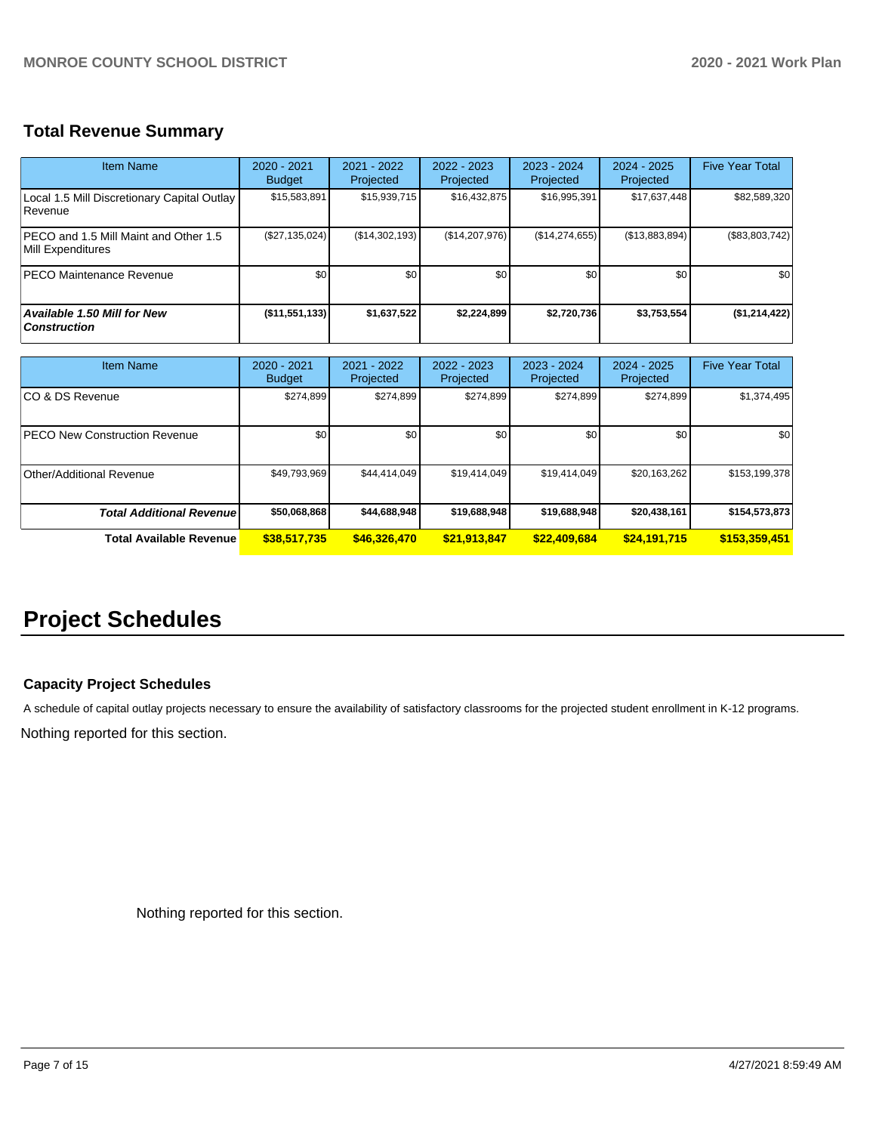# **Total Revenue Summary**

| Item Name                                                   | $2020 - 2021$<br><b>Budget</b> | $2021 - 2022$<br>Projected | $2022 - 2023$<br>Projected | $2023 - 2024$<br>Projected | $2024 - 2025$<br>Projected | <b>Five Year Total</b> |
|-------------------------------------------------------------|--------------------------------|----------------------------|----------------------------|----------------------------|----------------------------|------------------------|
| Local 1.5 Mill Discretionary Capital Outlay<br>l Revenue    | \$15,583,891                   | \$15,939,715               | \$16,432,875               | \$16,995,391               | \$17,637,448               | \$82,589,320           |
| IPECO and 1.5 Mill Maint and Other 1.5<br>Mill Expenditures | (\$27,135,024)                 | (S14.302.193)              | (\$14,207,976)             | (S14, 274, 655)            | (S13, 883, 894)            | (\$83,803,742)         |
| <b>PECO Maintenance Revenue</b>                             | \$0 <sub>1</sub>               | \$0 <sub>1</sub>           | \$0                        | \$0                        | \$0                        | \$0                    |
| <b>Available 1.50 Mill for New</b><br><b>Construction</b>   | $($ \$11,551,133)              | \$1,637,522                | \$2,224,899                | \$2,720,736                | \$3,753,554                | (\$1,214,422)          |

| <b>Item Name</b>                      | 2020 - 2021<br><b>Budget</b> | 2021 - 2022<br>Projected | 2022 - 2023<br>Projected | 2023 - 2024<br>Projected | 2024 - 2025<br>Projected | <b>Five Year Total</b> |
|---------------------------------------|------------------------------|--------------------------|--------------------------|--------------------------|--------------------------|------------------------|
| ICO & DS Revenue                      | \$274,899                    | \$274,899                | \$274,899                | \$274,899                | \$274,899                | \$1,374,495            |
| <b>IPECO New Construction Revenue</b> | \$0                          | \$0                      | \$0                      | \$0                      | \$0                      | \$0                    |
| Other/Additional Revenue              | \$49,793,969                 | \$44,414,049             | \$19.414.049             | \$19,414,049             | \$20.163.262             | \$153,199,378          |
| <b>Total Additional Revenuel</b>      | \$50,068,868                 | \$44,688,948             | \$19,688,948             | \$19,688,948             | \$20,438,161             | \$154,573,873          |
| Total Available Revenue               | \$38,517,735                 | \$46,326,470             | \$21,913,847             | \$22,409,684             | \$24,191,715             | \$153,359,451          |

# **Project Schedules**

# **Capacity Project Schedules**

A schedule of capital outlay projects necessary to ensure the availability of satisfactory classrooms for the projected student enrollment in K-12 programs.

Nothing reported for this section.

Nothing reported for this section.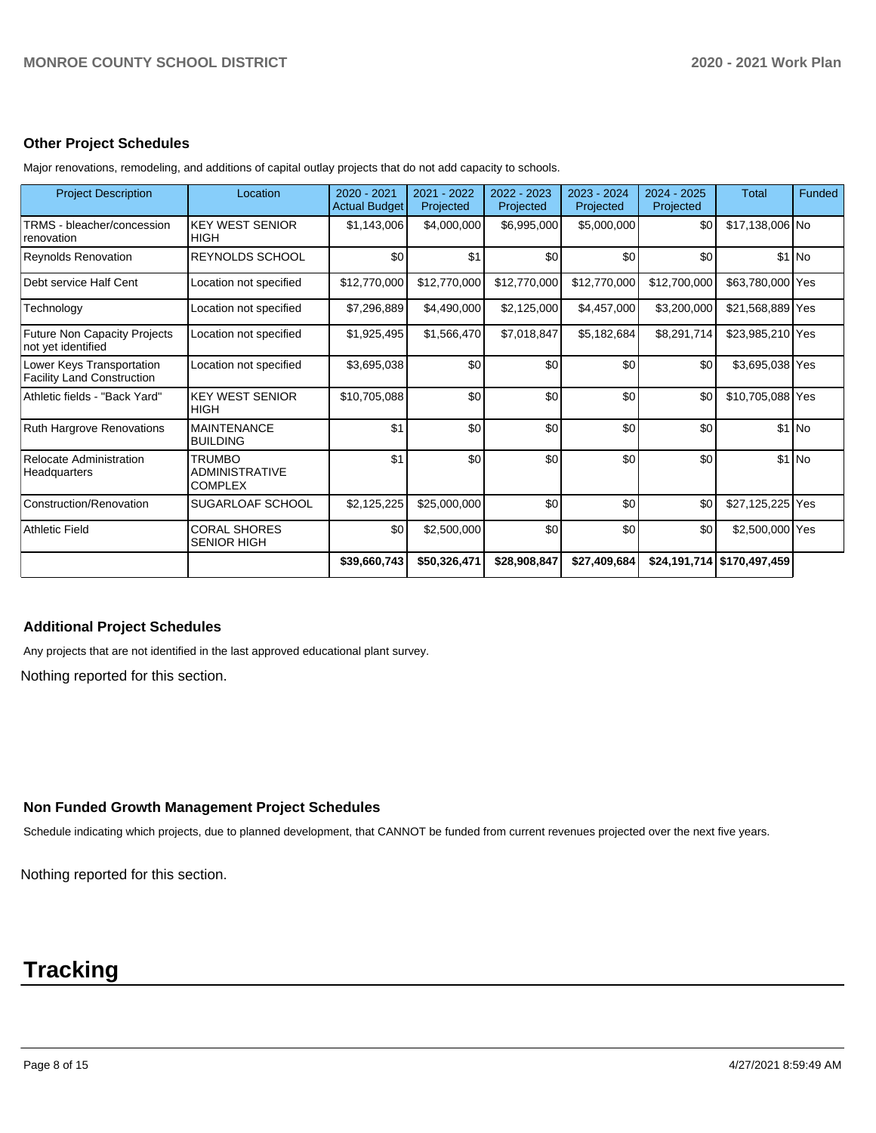#### **Other Project Schedules**

| <b>Project Description</b>                                     | Location                                                 | 2020 - 2021<br><b>Actual Budget</b> | 2021 - 2022<br>Projected | 2022 - 2023<br>Projected | 2023 - 2024<br>Projected | 2024 - 2025<br>Projected | <b>Total</b>                 | Funded  |
|----------------------------------------------------------------|----------------------------------------------------------|-------------------------------------|--------------------------|--------------------------|--------------------------|--------------------------|------------------------------|---------|
| TRMS - bleacher/concession<br>renovation                       | <b>KEY WEST SENIOR</b><br><b>HIGH</b>                    | \$1,143,006                         | \$4,000,000              | \$6,995,000              | \$5,000,000              | \$0                      | \$17,138,006 No              |         |
| <b>Reynolds Renovation</b>                                     | REYNOLDS SCHOOL                                          | \$0                                 | \$1                      | \$0                      | \$0                      | \$0                      |                              | $$1$ No |
| Debt service Half Cent                                         | Location not specified                                   | \$12,770,000                        | \$12,770,000             | \$12,770,000             | \$12,770,000             | \$12,700,000             | \$63,780,000 Yes             |         |
| Technology                                                     | Location not specified                                   | \$7,296,889                         | \$4,490,000              | \$2,125,000              | \$4,457,000              | \$3,200,000              | \$21,568,889 Yes             |         |
| <b>Future Non Capacity Projects</b><br>not yet identified      | Location not specified                                   | \$1,925,495                         | \$1,566,470              | \$7,018,847              | \$5,182,684              | \$8,291,714              | \$23,985,210 Yes             |         |
| Lower Keys Transportation<br><b>Facility Land Construction</b> | Location not specified                                   | \$3,695,038                         | \$0                      | \$0                      | \$0                      | \$0                      | \$3,695,038 Yes              |         |
| Athletic fields - "Back Yard"                                  | <b>KEY WEST SENIOR</b><br><b>HIGH</b>                    | \$10,705,088                        | \$0                      | \$0                      | \$0                      | \$0                      | \$10,705,088 Yes             |         |
| Ruth Hargrove Renovations                                      | <b>MAINTENANCE</b><br><b>BUILDING</b>                    | \$1                                 | \$0                      | \$0                      | \$0                      | \$0                      |                              | $$1$ No |
| Relocate Administration<br>Headquarters                        | <b>TRUMBO</b><br><b>ADMINISTRATIVE</b><br><b>COMPLEX</b> | \$1                                 | \$0                      | \$0                      | \$0                      | \$0                      |                              | $$1$ No |
| Construction/Renovation                                        | SUGARLOAF SCHOOL                                         | \$2,125,225                         | \$25,000,000             | \$0                      | \$0                      | \$0                      | \$27,125,225 Yes             |         |
| <b>Athletic Field</b>                                          | <b>CORAL SHORES</b><br><b>SENIOR HIGH</b>                | \$0                                 | \$2,500,000              | \$0                      | \$0                      | \$0                      | \$2,500,000 Yes              |         |
|                                                                |                                                          | \$39,660,743                        | \$50,326,471             | \$28,908,847             | \$27,409,684             |                          | $$24,191,714$ $$170,497,459$ |         |

Major renovations, remodeling, and additions of capital outlay projects that do not add capacity to schools.

#### **Additional Project Schedules**

Any projects that are not identified in the last approved educational plant survey.

Nothing reported for this section.

#### **Non Funded Growth Management Project Schedules**

Schedule indicating which projects, due to planned development, that CANNOT be funded from current revenues projected over the next five years.

Nothing reported for this section.

# **Tracking**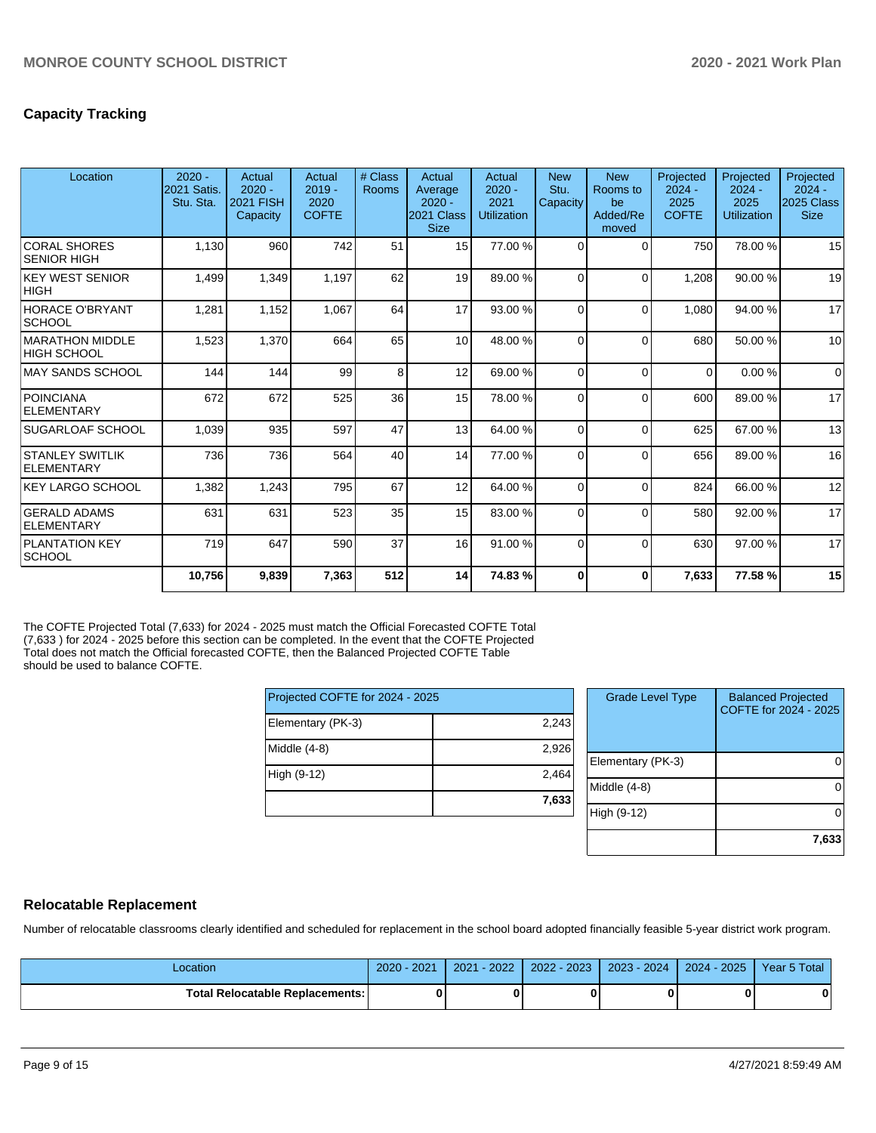# **Capacity Tracking**

| Location                                | $2020 -$<br>2021 Satis.<br>Stu. Sta. | Actual<br>$2020 -$<br><b>2021 FISH</b><br>Capacity | Actual<br>$2019 -$<br>2020<br><b>COFTE</b> | # Class<br>Rooms | Actual<br>Average<br>$2020 -$<br>2021 Class<br><b>Size</b> | Actual<br>$2020 -$<br>2021<br><b>Utilization</b> | <b>New</b><br>Stu.<br>Capacity | <b>New</b><br>Rooms to<br>be<br>Added/Re<br>moved | Projected<br>$2024 -$<br>2025<br><b>COFTE</b> | Projected<br>$2024 -$<br>2025<br><b>Utilization</b> | Projected<br>$2024 -$<br>2025 Class<br><b>Size</b> |
|-----------------------------------------|--------------------------------------|----------------------------------------------------|--------------------------------------------|------------------|------------------------------------------------------------|--------------------------------------------------|--------------------------------|---------------------------------------------------|-----------------------------------------------|-----------------------------------------------------|----------------------------------------------------|
| <b>CORAL SHORES</b><br> SENIOR HIGH     | 1,130                                | 960                                                | 742                                        | 51               | 15                                                         | 77.00 %                                          | $\Omega$                       | 0                                                 | 750                                           | 78.00 %                                             | 15                                                 |
| <b>KEY WEST SENIOR</b><br><b>HIGH</b>   | 1,499                                | 1,349                                              | 1,197                                      | 62               | 19                                                         | 89.00 %                                          | $\Omega$                       | $\Omega$                                          | 1,208                                         | 90.00 %                                             | 19                                                 |
| <b>HORACE O'BRYANT</b><br><b>SCHOOL</b> | 1,281                                | 1,152                                              | 1,067                                      | 64               | 17                                                         | 93.00 %                                          | $\Omega$                       | $\Omega$                                          | 1.080                                         | 94.00 %                                             | 17                                                 |
| MARATHON MIDDLE<br><b>HIGH SCHOOL</b>   | 1,523                                | 1,370                                              | 664                                        | 65               | 10                                                         | 48.00 %                                          | $\Omega$                       | $\Omega$                                          | 680                                           | 50.00 %                                             | 10                                                 |
| IMAY SANDS SCHOOL                       | 144                                  | 144                                                | 99                                         | 8                | 12                                                         | 69.00 %                                          | $\Omega$                       | $\Omega$                                          | $\Omega$                                      | 0.00%                                               | $\Omega$                                           |
| <b>POINCIANA</b><br>ELEMENTARY          | 672                                  | 672                                                | 525                                        | 36               | 15                                                         | 78.00 %                                          | $\Omega$                       | $\Omega$                                          | 600                                           | 89.00 %                                             | 17                                                 |
| <b>ISUGARLOAF SCHOOL</b>                | 1,039                                | 935                                                | 597                                        | 47               | 13 <sup>1</sup>                                            | 64.00 %                                          | $\Omega$                       | $\Omega$                                          | 625                                           | 67.00 %                                             | 13                                                 |
| <b>STANLEY SWITLIK</b><br>ELEMENTARY    | 736                                  | 736                                                | 564                                        | 40               | 14                                                         | 77.00 %                                          | $\Omega$                       | $\Omega$                                          | 656                                           | 89.00 %                                             | 16                                                 |
| <b>KEY LARGO SCHOOL</b>                 | 1,382                                | 1,243                                              | 795                                        | 67               | 12                                                         | 64.00%                                           | $\Omega$                       | $\Omega$                                          | 824                                           | 66.00 %                                             | 12                                                 |
| <b>GERALD ADAMS</b><br>ELEMENTARY       | 631                                  | 631                                                | 523                                        | 35               | 15                                                         | 83.00 %                                          | $\Omega$                       | $\Omega$                                          | 580                                           | 92.00 %                                             | 17                                                 |
| <b>PLANTATION KEY</b><br> SCHOOL        | 719                                  | 647                                                | 590                                        | 37               | 16                                                         | 91.00%                                           | $\Omega$                       | $\Omega$                                          | 630                                           | 97.00 %                                             | 17                                                 |
|                                         | 10,756                               | 9,839                                              | 7,363                                      | 512              | 14                                                         | 74.83%                                           | $\Omega$                       | 0                                                 | 7,633                                         | 77.58%                                              | 15                                                 |

The COFTE Projected Total (7,633) for 2024 - 2025 must match the Official Forecasted COFTE Total (7,633 ) for 2024 - 2025 before this section can be completed. In the event that the COFTE Projected Total does not match the Official forecasted COFTE, then the Balanced Projected COFTE Table should be used to balance COFTE.

| Projected COFTE for 2024 - 2025 |       |  |  |  |  |  |
|---------------------------------|-------|--|--|--|--|--|
| Elementary (PK-3)               | 2,243 |  |  |  |  |  |
| Middle $(4-8)$                  | 2,926 |  |  |  |  |  |
| High (9-12)                     | 2,464 |  |  |  |  |  |
|                                 | 7,633 |  |  |  |  |  |

| <b>Grade Level Type</b> | <b>Balanced Projected</b><br>COFTE for 2024 - 2025 |
|-------------------------|----------------------------------------------------|
| Elementary (PK-3)       |                                                    |
| Middle $(4-8)$          |                                                    |
| High (9-12)             |                                                    |
|                         | 7,633                                              |

#### **Relocatable Replacement**

Number of relocatable classrooms clearly identified and scheduled for replacement in the school board adopted financially feasible 5-year district work program.

| -ocation                               | $2020 -$<br>2021 | $-2022$<br>2021 | 2022 - 2023 | 2023 - 2024 | 2024 - 2025 | Year 5 Total |
|----------------------------------------|------------------|-----------------|-------------|-------------|-------------|--------------|
| <b>Total Relocatable Replacements:</b> |                  |                 |             |             |             | 0            |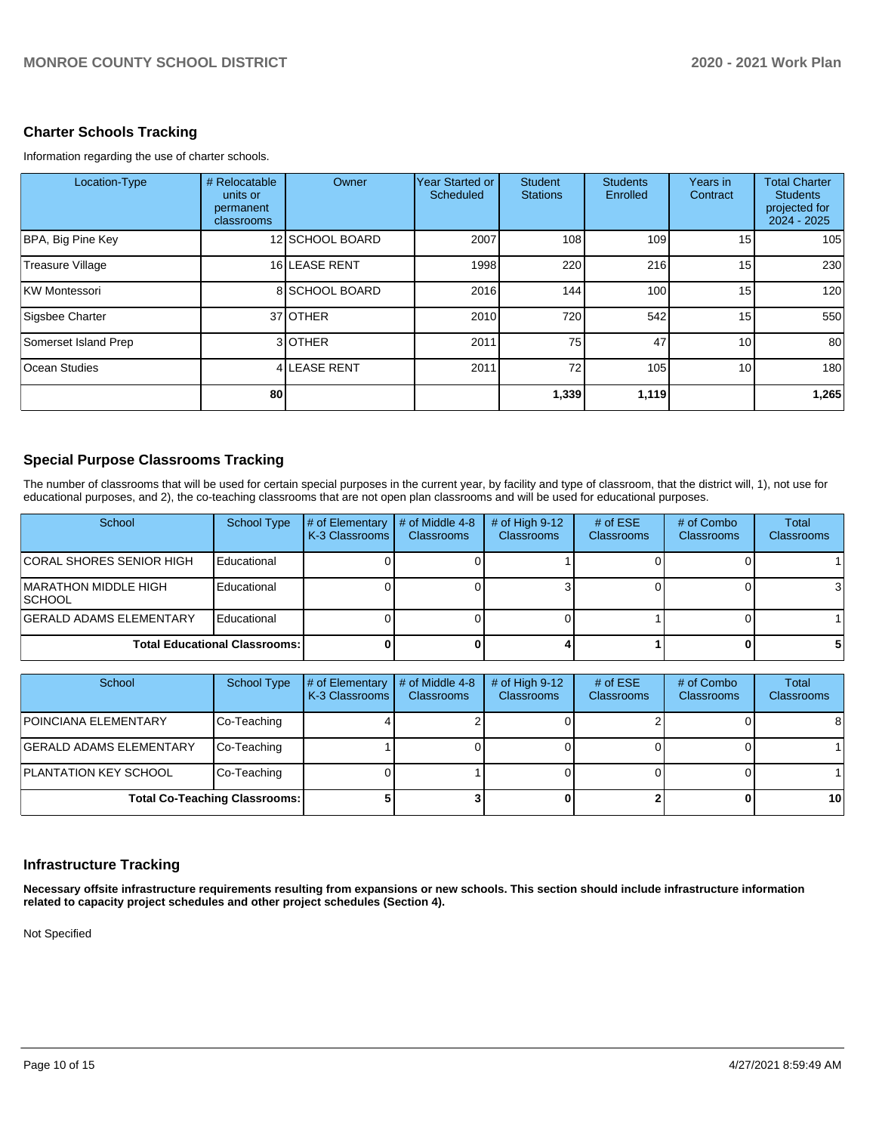# **Charter Schools Tracking**

Information regarding the use of charter schools.

| Location-Type           | # Relocatable<br>units or<br>permanent<br>classrooms | Owner           | Year Started or<br>Scheduled | <b>Student</b><br><b>Stations</b> | <b>Students</b><br>Enrolled | Years in<br>Contract | <b>Total Charter</b><br><b>Students</b><br>projected for<br>$2024 - 2025$ |
|-------------------------|------------------------------------------------------|-----------------|------------------------------|-----------------------------------|-----------------------------|----------------------|---------------------------------------------------------------------------|
| BPA, Big Pine Key       |                                                      | 12 SCHOOL BOARD | 2007                         | 108                               | 109                         | 15                   | 105                                                                       |
| <b>Treasure Village</b> |                                                      | 16 LEASE RENT   | 1998                         | 220                               | 216                         | 15 <sup>1</sup>      | 230                                                                       |
| KW Montessori           |                                                      | 8 SCHOOL BOARD  | 2016                         | 144                               | 100 <sup>1</sup>            | 15                   | 120                                                                       |
| Sigsbee Charter         |                                                      | 37 OTHER        | 2010                         | 720                               | 542                         | 15                   | 550                                                                       |
| Somerset Island Prep    |                                                      | 3OTHER          | 2011                         | 75                                | 47                          | 10 <sup>1</sup>      | 80                                                                        |
| <b>Ocean Studies</b>    |                                                      | 4 LEASE RENT    | 2011                         | 72                                | 105                         | 10 <sup>1</sup>      | 180                                                                       |
|                         | 80                                                   |                 |                              | 1,339                             | 1,119                       |                      | 1,265                                                                     |

### **Special Purpose Classrooms Tracking**

The number of classrooms that will be used for certain special purposes in the current year, by facility and type of classroom, that the district will, 1), not use for educational purposes, and 2), the co-teaching classrooms that are not open plan classrooms and will be used for educational purposes.

| School                                         | School Type | # of Elementary<br>K-3 Classrooms | # of Middle 4-8<br><b>Classrooms</b> | # of High $9-12$<br><b>Classrooms</b> | # of $ESE$<br><b>Classrooms</b> | # of Combo<br><b>Classrooms</b> | Total<br><b>Classrooms</b> |
|------------------------------------------------|-------------|-----------------------------------|--------------------------------------|---------------------------------------|---------------------------------|---------------------------------|----------------------------|
| <b>CORAL SHORES SENIOR HIGH</b>                | Educational |                                   |                                      |                                       |                                 |                                 |                            |
| <b>IMARATHON MIDDLE HIGH</b><br><b>ISCHOOL</b> | Educational |                                   |                                      |                                       |                                 |                                 |                            |
| <b>GERALD ADAMS ELEMENTARY</b>                 | Educational |                                   |                                      |                                       |                                 |                                 |                            |
| <b>Total Educational Classrooms:</b>           |             |                                   |                                      |                                       |                                 |                                 |                            |

| School                         | School Type                          | # of Elementary<br>K-3 Classrooms | # of Middle 4-8<br><b>Classrooms</b> | # of High $9-12$<br><b>Classrooms</b> | # of $ESE$<br><b>Classrooms</b> | # of Combo<br><b>Classrooms</b> | Total<br><b>Classrooms</b> |
|--------------------------------|--------------------------------------|-----------------------------------|--------------------------------------|---------------------------------------|---------------------------------|---------------------------------|----------------------------|
| <b>POINCIANA ELEMENTARY</b>    | Co-Teaching                          |                                   |                                      |                                       |                                 |                                 | 8                          |
| <b>GERALD ADAMS ELEMENTARY</b> | Co-Teaching                          |                                   |                                      |                                       |                                 |                                 |                            |
| <b>PLANTATION KEY SCHOOL</b>   | Co-Teaching                          |                                   |                                      |                                       |                                 |                                 |                            |
|                                | <b>Total Co-Teaching Classrooms:</b> |                                   |                                      |                                       |                                 |                                 | 10                         |

# **Infrastructure Tracking**

**Necessary offsite infrastructure requirements resulting from expansions or new schools. This section should include infrastructure information related to capacity project schedules and other project schedules (Section 4).** 

Not Specified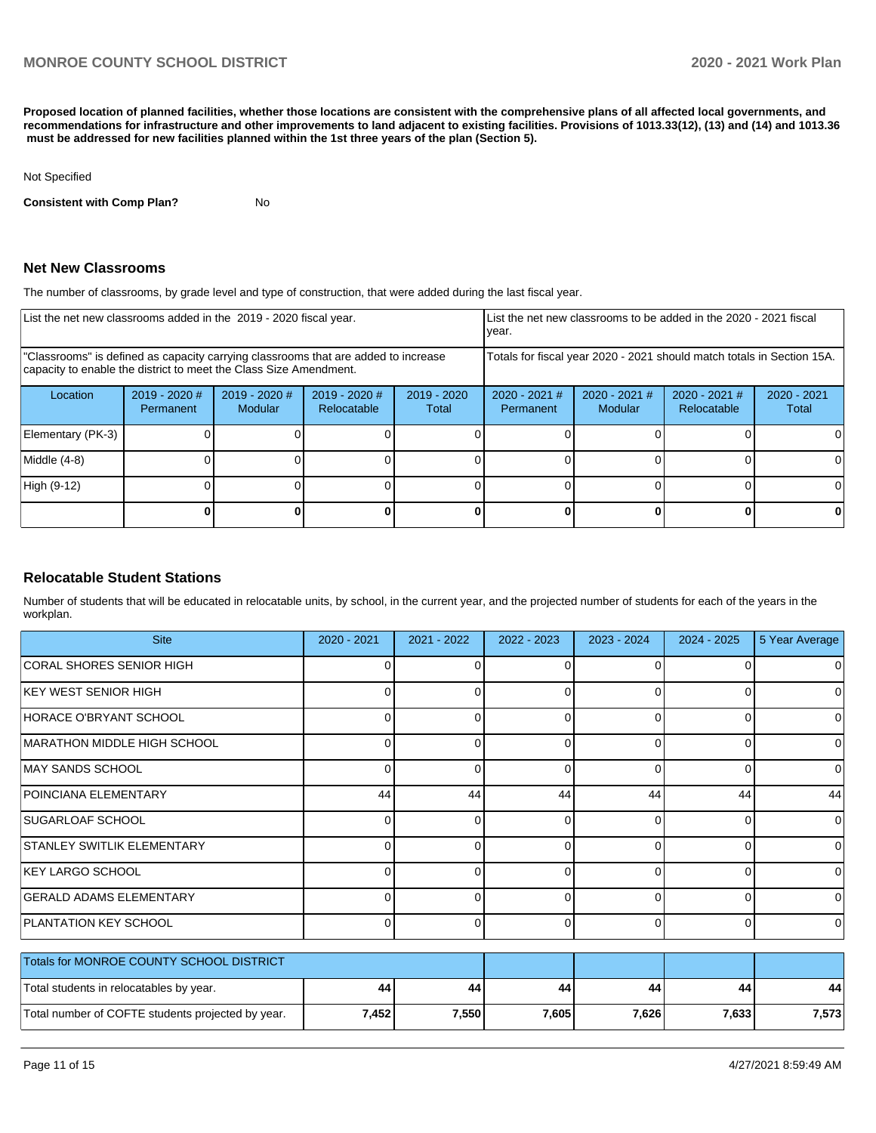**Proposed location of planned facilities, whether those locations are consistent with the comprehensive plans of all affected local governments, and recommendations for infrastructure and other improvements to land adjacent to existing facilities. Provisions of 1013.33(12), (13) and (14) and 1013.36 must be addressed for new facilities planned within the 1st three years of the plan (Section 5).** 

#### Not Specified

**Consistent with Comp Plan?** No

#### **Net New Classrooms**

The number of classrooms, by grade level and type of construction, that were added during the last fiscal year.

| List the net new classrooms added in the 2019 - 2020 fiscal year.                                                                                       |                              |                                   |                                | List the net new classrooms to be added in the 2020 - 2021 fiscal<br>year. |                              |                            |                                |                        |
|---------------------------------------------------------------------------------------------------------------------------------------------------------|------------------------------|-----------------------------------|--------------------------------|----------------------------------------------------------------------------|------------------------------|----------------------------|--------------------------------|------------------------|
| "Classrooms" is defined as capacity carrying classrooms that are added to increase<br>capacity to enable the district to meet the Class Size Amendment. |                              |                                   |                                | Totals for fiscal year 2020 - 2021 should match totals in Section 15A.     |                              |                            |                                |                        |
| Location                                                                                                                                                | $2019 - 2020$ #<br>Permanent | $2019 - 2020$ #<br><b>Modular</b> | $2019 - 2020$ #<br>Relocatable | $2019 - 2020$<br>Total                                                     | $2020 - 2021$ #<br>Permanent | $2020 - 2021$ #<br>Modular | $2020 - 2021$ #<br>Relocatable | $2020 - 2021$<br>Total |
| Elementary (PK-3)                                                                                                                                       |                              |                                   |                                |                                                                            |                              |                            |                                |                        |
| Middle (4-8)                                                                                                                                            |                              |                                   |                                |                                                                            |                              |                            |                                | $\Omega$               |
| High (9-12)                                                                                                                                             |                              |                                   |                                |                                                                            |                              |                            |                                | 0                      |
|                                                                                                                                                         |                              |                                   |                                |                                                                            |                              |                            |                                | 0                      |

#### **Relocatable Student Stations**

Number of students that will be educated in relocatable units, by school, in the current year, and the projected number of students for each of the years in the workplan.

| <b>Site</b>                                       | 2020 - 2021 | 2021 - 2022 | 2022 - 2023 | 2023 - 2024 | 2024 - 2025  | 5 Year Average |
|---------------------------------------------------|-------------|-------------|-------------|-------------|--------------|----------------|
| CORAL SHORES SENIOR HIGH                          | ∩           |             | 0           | $\Omega$    | n            | 0              |
| <b>KEY WEST SENIOR HIGH</b>                       | 0           |             | 0           | $\Omega$    | <sup>0</sup> | 0              |
| HORACE O'BRYANT SCHOOL                            | 0           | U           | 0           | $\Omega$    | 0            | 0              |
| <b>MARATHON MIDDLE HIGH SCHOOL</b>                |             |             | 0           | $\Omega$    | ∩            | 0              |
| <b>MAY SANDS SCHOOL</b>                           | 0           | ი           | 0           | 0           | 0            | 0              |
| POINCIANA ELEMENTARY                              | 44          | 44          | 44          | 44          | 44           | 44             |
| <b>SUGARLOAF SCHOOL</b>                           | 0           |             | 0           | $\Omega$    | 0            | 0              |
| <b>STANLEY SWITLIK ELEMENTARY</b>                 | 0           | U           | 0           | $\Omega$    | 0            | 0              |
| KEY LARGO SCHOOL                                  | 0           |             | $\Omega$    | $\Omega$    | $\Omega$     | 0              |
| <b>GERALD ADAMS ELEMENTARY</b>                    | 0           | ი           | 0           | $\Omega$    | 0            | 0              |
| <b>PLANTATION KEY SCHOOL</b>                      | 0           | ∩           | $\Omega$    | $\Omega$    | $\Omega$     | $\Omega$       |
| Totals for MONROE COUNTY SCHOOL DISTRICT          |             |             |             |             |              |                |
| Total students in relocatables by year.           | 44          | 44          | 44          | 44          | 44           | 44             |
| Total number of COFTE students projected by year. | 7,452       | 7,550       | 7,605       | 7,626       | 7,633        | 7,573          |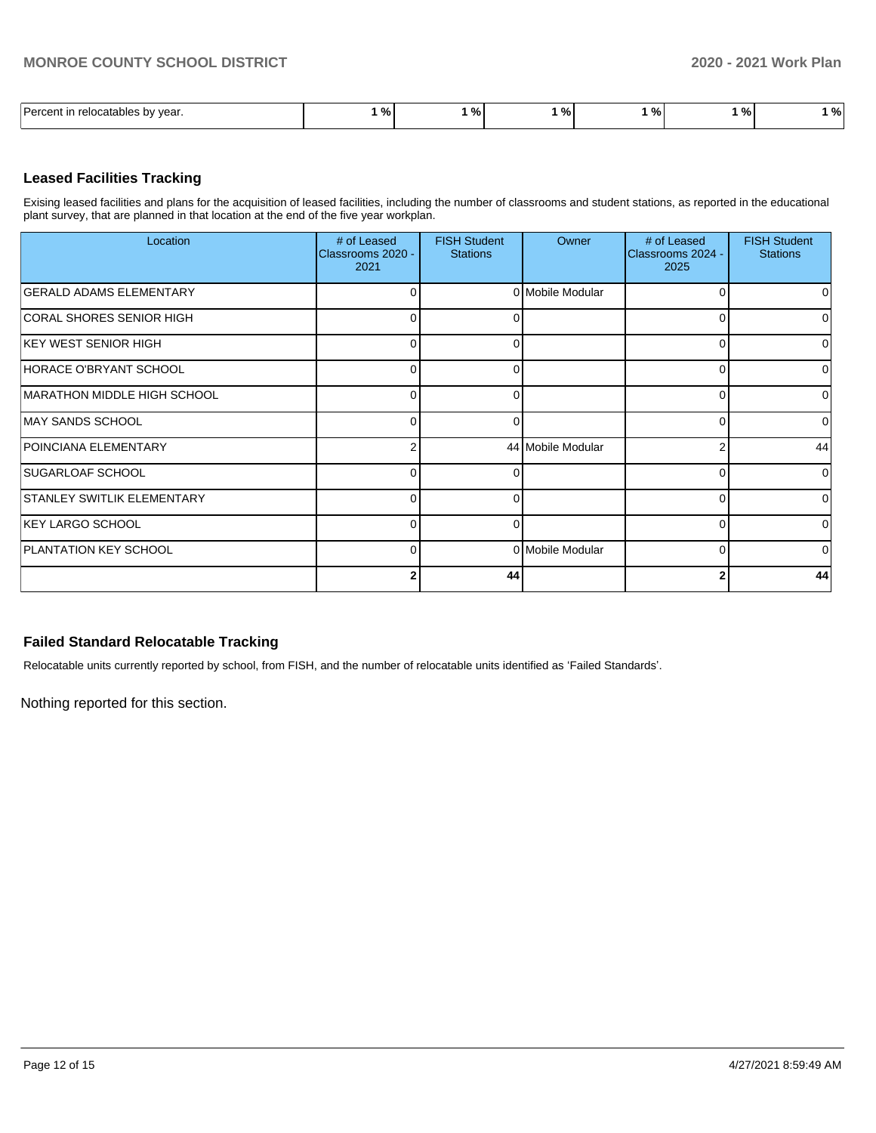| $\overline{\phantom{0}}$<br>l Darcant<br>relocatables by<br>vear. | $\mathbf{a}$<br>,,,, | 7٥. | - 01<br>-.<br>- 70 | -<br>70 I | $\Omega$<br>7٥ | $\mathbf{a}$<br>Yo I |
|-------------------------------------------------------------------|----------------------|-----|--------------------|-----------|----------------|----------------------|

### **Leased Facilities Tracking**

Exising leased facilities and plans for the acquisition of leased facilities, including the number of classrooms and student stations, as reported in the educational plant survey, that are planned in that location at the end of the five year workplan.

| Location                          | # of Leased<br>Classrooms 2020 -<br>2021 | <b>FISH Student</b><br><b>Stations</b> | Owner             | # of Leased<br>Classrooms 2024 -<br>2025 | <b>FISH Student</b><br><b>Stations</b> |
|-----------------------------------|------------------------------------------|----------------------------------------|-------------------|------------------------------------------|----------------------------------------|
| <b>GERALD ADAMS ELEMENTARY</b>    | $\Omega$                                 |                                        | 0 Mobile Modular  |                                          | 0                                      |
| CORAL SHORES SENIOR HIGH          | 0                                        |                                        |                   |                                          | 0                                      |
| <b>IKEY WEST SENIOR HIGH</b>      | 0                                        |                                        |                   |                                          | 0                                      |
| HORACE O'BRYANT SCHOOL            | $\Omega$                                 | r                                      |                   | ∩                                        | $\Omega$                               |
| MARATHON MIDDLE HIGH SCHOOL       | 0                                        |                                        |                   | U                                        | $\overline{0}$                         |
| MAY SANDS SCHOOL                  | 0                                        |                                        |                   |                                          | 0                                      |
| <b>POINCIANA ELEMENTARY</b>       | $\mathfrak{p}$                           |                                        | 44 Mobile Modular |                                          | 44                                     |
| SUGARLOAF SCHOOL                  | 0                                        |                                        |                   | 0                                        | $\overline{0}$                         |
| <b>STANLEY SWITLIK ELEMENTARY</b> | $\Omega$                                 |                                        |                   |                                          | $\Omega$                               |
| <b>IKEY LARGO SCHOOL</b>          | $\Omega$                                 | r                                      |                   |                                          | $\Omega$                               |
| <b>PLANTATION KEY SCHOOL</b>      | 0                                        |                                        | 0 Mobile Modular  | U                                        | $\overline{0}$                         |
|                                   | 2                                        | 44                                     |                   |                                          | 44                                     |

#### **Failed Standard Relocatable Tracking**

Relocatable units currently reported by school, from FISH, and the number of relocatable units identified as 'Failed Standards'.

Nothing reported for this section.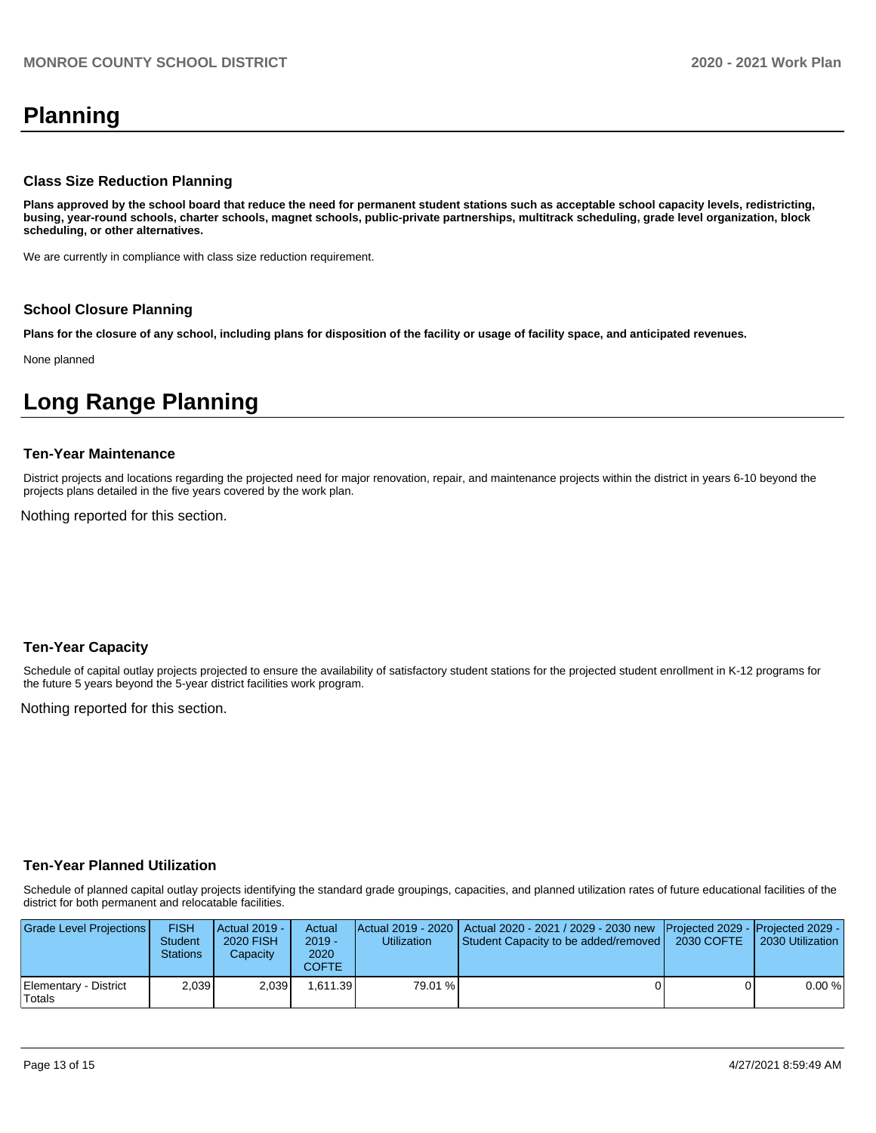# **Planning**

#### **Class Size Reduction Planning**

**Plans approved by the school board that reduce the need for permanent student stations such as acceptable school capacity levels, redistricting, busing, year-round schools, charter schools, magnet schools, public-private partnerships, multitrack scheduling, grade level organization, block scheduling, or other alternatives.**

We are currently in compliance with class size reduction requirement.

#### **School Closure Planning**

**Plans for the closure of any school, including plans for disposition of the facility or usage of facility space, and anticipated revenues.** 

None planned

# **Long Range Planning**

#### **Ten-Year Maintenance**

District projects and locations regarding the projected need for major renovation, repair, and maintenance projects within the district in years 6-10 beyond the projects plans detailed in the five years covered by the work plan.

Nothing reported for this section.

#### **Ten-Year Capacity**

Schedule of capital outlay projects projected to ensure the availability of satisfactory student stations for the projected student enrollment in K-12 programs for the future 5 years beyond the 5-year district facilities work program.

Nothing reported for this section.

#### **Ten-Year Planned Utilization**

Schedule of planned capital outlay projects identifying the standard grade groupings, capacities, and planned utilization rates of future educational facilities of the district for both permanent and relocatable facilities.

| Grade Level Projections         | <b>FISH</b><br><b>Student</b><br><b>Stations</b> | Actual 2019 -<br>2020 FISH<br>Capacity | Actual<br>$2019 -$<br>2020<br>COFTE | Utilization | Actual 2019 - 2020   Actual 2020 - 2021 / 2029 - 2030 new   Projected 2029 -   Projected 2029 -<br>Student Capacity to be added/removed | 2030 COFTE | 2030 Utilization |
|---------------------------------|--------------------------------------------------|----------------------------------------|-------------------------------------|-------------|-----------------------------------------------------------------------------------------------------------------------------------------|------------|------------------|
| Elementary - District<br>Totals | 2.039                                            | 2.039                                  | 1.611.39                            | 79.01 %     |                                                                                                                                         |            | 0.00%            |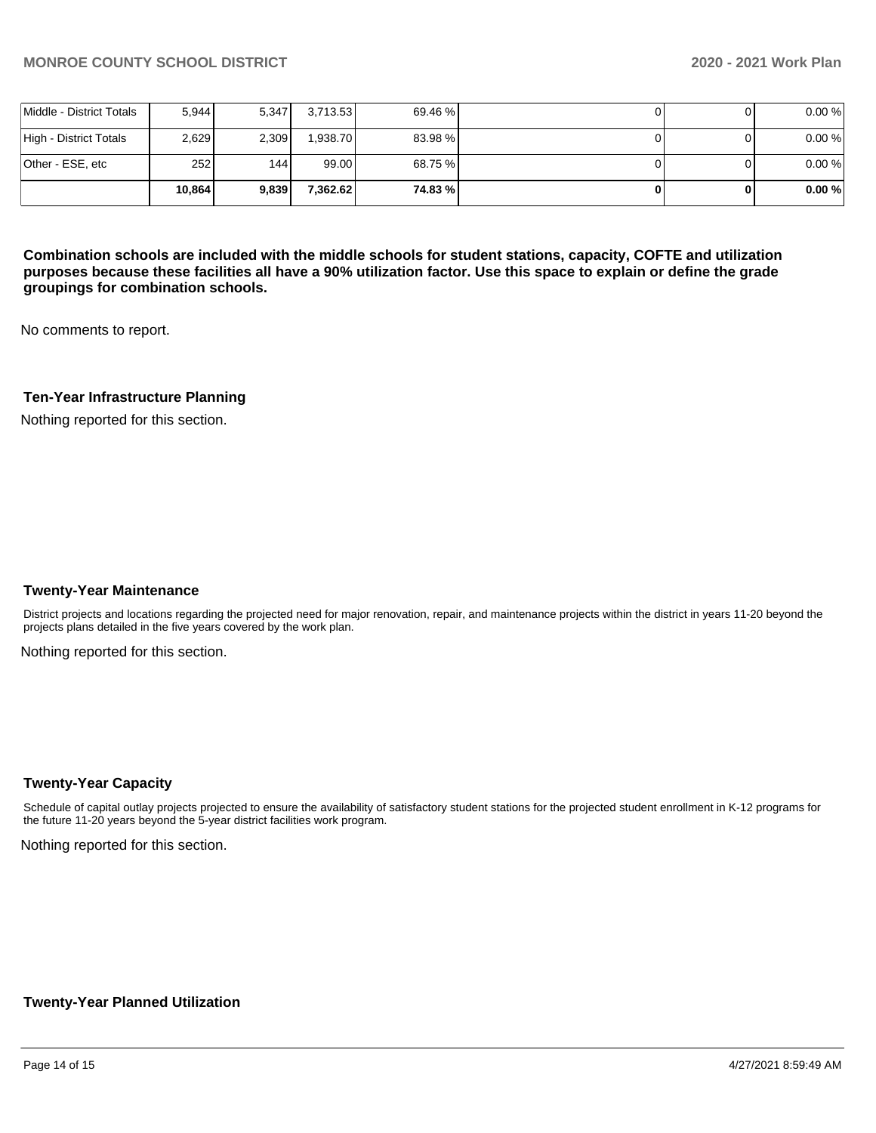|                          | 10.864 | 9.839 | 7.362.62 | 74.83 % |  | 0.00% |
|--------------------------|--------|-------|----------|---------|--|-------|
| Other - ESE, etc         | 252    | 144 l | 99.00    | 68.75 % |  | 0.00% |
| High - District Totals   | 2.629  | 2.309 | 1.938.70 | 83.98 % |  | 0.00% |
| Middle - District Totals | 5.944  | 5,347 | 3,713.53 | 69.46 % |  | 0.00% |

**Combination schools are included with the middle schools for student stations, capacity, COFTE and utilization purposes because these facilities all have a 90% utilization factor. Use this space to explain or define the grade groupings for combination schools.** 

No comments to report.

### **Ten-Year Infrastructure Planning**

Nothing reported for this section.

#### **Twenty-Year Maintenance**

District projects and locations regarding the projected need for major renovation, repair, and maintenance projects within the district in years 11-20 beyond the projects plans detailed in the five years covered by the work plan.

Nothing reported for this section.

#### **Twenty-Year Capacity**

Schedule of capital outlay projects projected to ensure the availability of satisfactory student stations for the projected student enrollment in K-12 programs for the future 11-20 years beyond the 5-year district facilities work program.

Nothing reported for this section.

#### **Twenty-Year Planned Utilization**